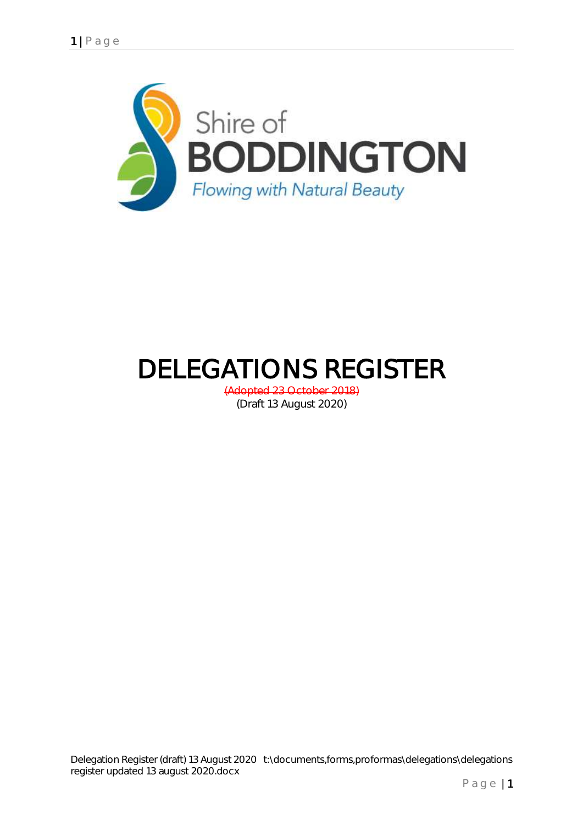

# DELEGATIONS REGISTER

(Adopted 23 October 2018) (Draft 13 August 2020)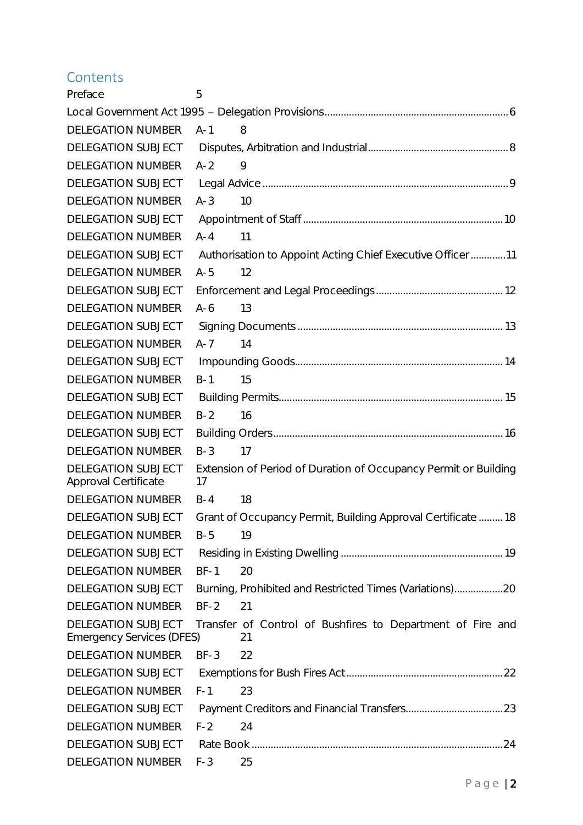# **Contents**

| Preface                                                       | 5                                                                     |
|---------------------------------------------------------------|-----------------------------------------------------------------------|
|                                                               |                                                                       |
| <b>DELEGATION NUMBER</b>                                      | 8<br>$A-1$                                                            |
| DELEGATION SUBJECT                                            |                                                                       |
| <b>DELEGATION NUMBER</b>                                      | $A-2$<br>9                                                            |
| DELEGATION SUBJECT                                            |                                                                       |
| <b>DELEGATION NUMBER</b>                                      | $A-3$<br>10                                                           |
| <b>DELEGATION SUBJECT</b>                                     |                                                                       |
| <b>DELEGATION NUMBER</b>                                      | $A - 4$<br>11                                                         |
| DELEGATION SUBJECT                                            | Authorisation to Appoint Acting Chief Executive Officer11             |
| <b>DELEGATION NUMBER</b>                                      | $A-5$<br>12                                                           |
| DELEGATION SUBJECT                                            |                                                                       |
| <b>DELEGATION NUMBER</b>                                      | $A-6$<br>13                                                           |
| DELEGATION SUBJECT                                            |                                                                       |
| <b>DELEGATION NUMBER</b>                                      | $A - 7$<br>14                                                         |
| DELEGATION SUBJECT                                            |                                                                       |
| <b>DELEGATION NUMBER</b>                                      | 15<br>$B-1$                                                           |
| <b>DELEGATION SUBJECT</b>                                     |                                                                       |
| <b>DELEGATION NUMBER</b>                                      | $B-2$<br>16                                                           |
| DELEGATION SUBJECT                                            |                                                                       |
| <b>DELEGATION NUMBER</b>                                      | $B-3$<br>17                                                           |
| DELEGATION SUBJECT<br><b>Approval Certificate</b>             | Extension of Period of Duration of Occupancy Permit or Building<br>17 |
| <b>DELEGATION NUMBER</b>                                      | 18<br>$B - 4$                                                         |
| DELEGATION SUBJECT                                            | Grant of Occupancy Permit, Building Approval Certificate 18           |
| <b>DELEGATION NUMBER</b>                                      | $B-5$<br>19                                                           |
| DELEGATION SUBJECT                                            |                                                                       |
| <b>DELEGATION NUMBER</b>                                      | $BF-1$<br>20                                                          |
| DELEGATION SUBJECT                                            | Burning, Prohibited and Restricted Times (Variations)20               |
| <b>DELEGATION NUMBER</b>                                      | 21<br>$BF-2$                                                          |
| <b>DELEGATION SUBJECT</b><br><b>Emergency Services (DFES)</b> | Transfer of Control of Bushfires to Department of Fire and<br>21      |
| <b>DELEGATION NUMBER</b>                                      | $BF-3$<br>22                                                          |
| DELEGATION SUBJECT                                            |                                                                       |
| <b>DELEGATION NUMBER</b>                                      | $F-1$<br>23                                                           |
| DELEGATION SUBJECT                                            |                                                                       |
| <b>DELEGATION NUMBER</b>                                      | $F-2$<br>24                                                           |
| DELEGATION SUBJECT                                            |                                                                       |
| DELEGATION NUMBER                                             | $F-3$<br>25                                                           |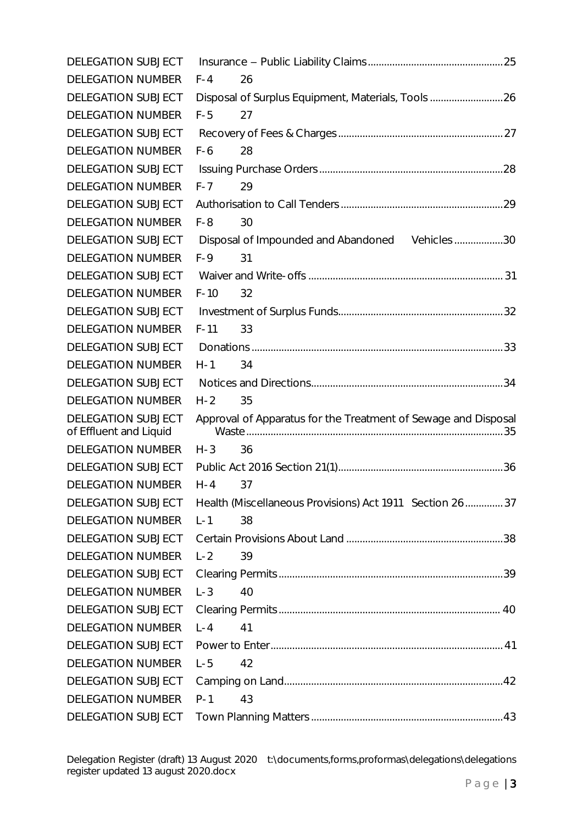| DELEGATION SUBJECT                           |                                                                |  |
|----------------------------------------------|----------------------------------------------------------------|--|
| <b>DELEGATION NUMBER</b>                     | $F - 4$<br>26                                                  |  |
| DELEGATION SUBJECT                           | Disposal of Surplus Equipment, Materials, Tools26              |  |
| <b>DELEGATION NUMBER</b>                     | $F-5$<br>27                                                    |  |
| DELEGATION SUBJECT                           |                                                                |  |
| <b>DELEGATION NUMBER</b>                     | $F-6$<br>28                                                    |  |
| DELEGATION SUBJECT                           |                                                                |  |
| <b>DELEGATION NUMBER</b>                     | $F - 7$<br>29                                                  |  |
| DELEGATION SUBJECT                           |                                                                |  |
| <b>DELEGATION NUMBER</b>                     | $F-8$<br>30                                                    |  |
| DELEGATION SUBJECT                           | Disposal of Impounded and Abandoned Vehicles 30                |  |
| <b>DELEGATION NUMBER</b>                     | $F-9$<br>31                                                    |  |
| <b>DELEGATION SUBJECT</b>                    |                                                                |  |
| <b>DELEGATION NUMBER</b>                     | $F-10$<br>32                                                   |  |
| DELEGATION SUBJECT                           |                                                                |  |
| <b>DELEGATION NUMBER</b>                     | 33<br>$F-11$                                                   |  |
| <b>DELEGATION SUBJECT</b>                    |                                                                |  |
| <b>DELEGATION NUMBER</b>                     | $H-1$<br>34                                                    |  |
| DELEGATION SUBJECT                           |                                                                |  |
| <b>DELEGATION NUMBER</b>                     | $H - 2$<br>35                                                  |  |
| DELEGATION SUBJECT<br>of Effluent and Liquid | Approval of Apparatus for the Treatment of Sewage and Disposal |  |
| <b>DELEGATION NUMBER</b>                     | $H - 3$<br>36                                                  |  |
| DELEGATION SUBJECT                           |                                                                |  |
| <b>DELEGATION NUMBER</b>                     | $H - 4$<br>37                                                  |  |
| DELEGATION SUBJECT                           | Health (Miscellaneous Provisions) Act 1911 Section 26  37      |  |
| <b>DELEGATION NUMBER</b>                     | $L - 1$<br>38                                                  |  |
| DELEGATION SUBJECT                           |                                                                |  |
| <b>DELEGATION NUMBER</b>                     | $L - 2$<br>39                                                  |  |
| DELEGATION SUBJECT                           |                                                                |  |
| <b>DELEGATION NUMBER</b>                     | $L - 3$<br>40                                                  |  |
| DELEGATION SUBJECT                           |                                                                |  |
| <b>DELEGATION NUMBER</b>                     | $L - 4$<br>41                                                  |  |
| DELEGATION SUBJECT                           |                                                                |  |
| <b>DELEGATION NUMBER</b>                     | $L - 5$<br>42                                                  |  |
| DELEGATION SUBJECT                           |                                                                |  |
| <b>DELEGATION NUMBER</b>                     | $P-1$<br>43                                                    |  |
| DELEGATION SUBJECT                           |                                                                |  |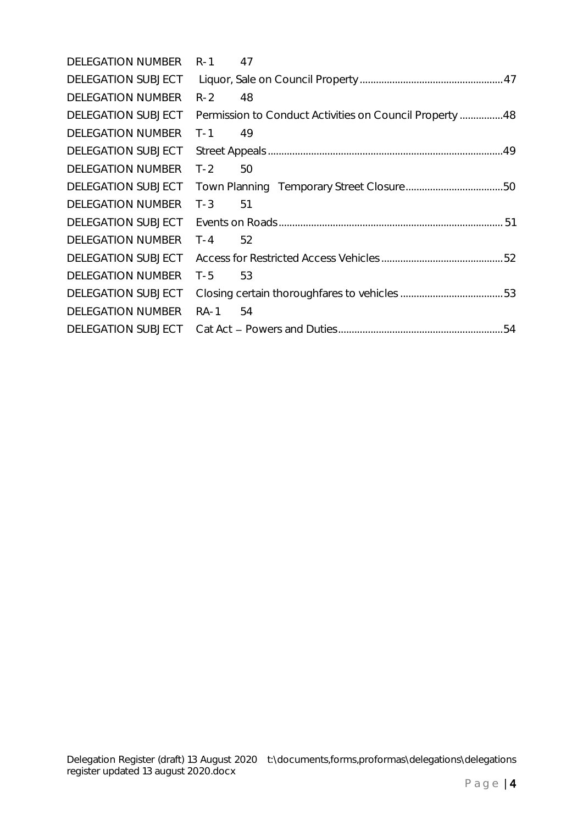| <b>DELEGATION NUMBER</b> | 47<br>$R-1$                                             |  |
|--------------------------|---------------------------------------------------------|--|
| DELEGATION SUBJECT       |                                                         |  |
| <b>DELEGATION NUMBER</b> | $R-2$<br>48                                             |  |
| DELEGATION SUBJECT       | Permission to Conduct Activities on Council Property 48 |  |
| <b>DELEGATION NUMBER</b> | 49<br>$T-1$                                             |  |
| DELEGATION SUBJECT       |                                                         |  |
| <b>DELEGATION NUMBER</b> | $T-2$<br>50                                             |  |
| DELEGATION SUBJECT       |                                                         |  |
| <b>DELEGATION NUMBER</b> | $T-3$<br>51                                             |  |
| DELEGATION SUBJECT       |                                                         |  |
| <b>DELEGATION NUMBER</b> | $T - 4$<br>52                                           |  |
| DELEGATION SUBJECT       |                                                         |  |
| <b>DELEGATION NUMBER</b> | 53<br>$T-5$                                             |  |
| DELEGATION SUBJECT       |                                                         |  |
| <b>DELEGATION NUMBER</b> | RA-1<br>54                                              |  |
| DELEGATION SUBJECT       |                                                         |  |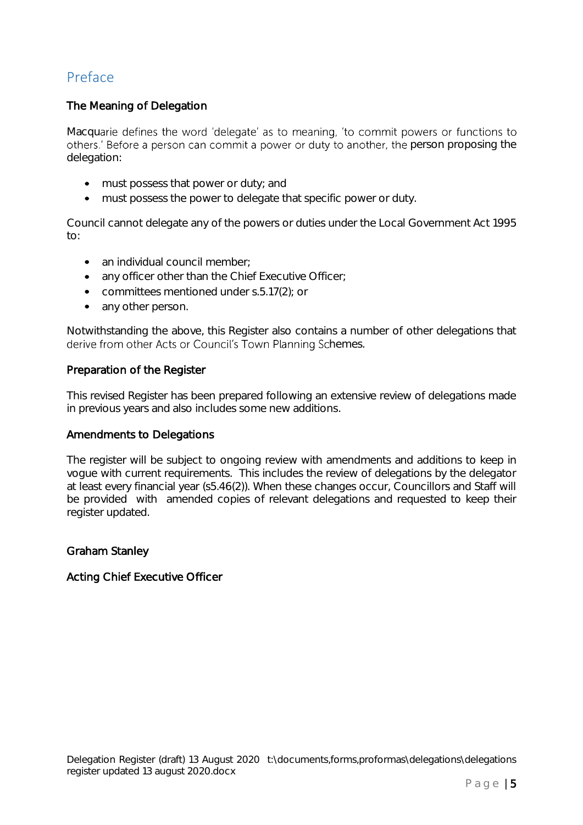# <span id="page-4-0"></span>Preface

# The Meaning of Delegation

Macquarie defines the word 'delegate' as to meaning, 'to commit powers or functions to others.' Before a person can commit a power or duty to another, the person proposing the delegation:

- must possess that power or duty; and
- must possess the power to delegate that specific power or duty.

Council cannot delegate any of the powers or duties under the Local Government Act 1995 to:

- an individual council member;
- any officer other than the Chief Executive Officer;
- committees mentioned under s.5.17(2); or
- any other person.

Notwithstanding the above, this Register also contains a number of other delegations that derive from other Acts or Council's Town Planning Schemes.

# Preparation of the Register

This revised Register has been prepared following an extensive review of delegations made in previous years and also includes some new additions.

# Amendments to Delegations

The register will be subject to ongoing review with amendments and additions to keep in vogue with current requirements. This includes the review of delegations by the delegator at least every financial year (s5.46(2)). When these changes occur, Councillors and Staff will be provided with amended copies of relevant delegations and requested to keep their register updated.

# Graham Stanley

# Acting Chief Executive Officer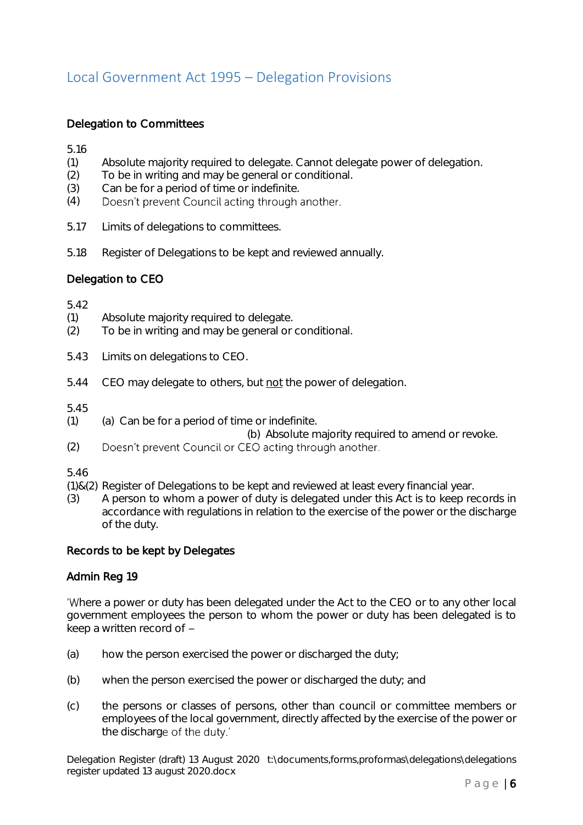# <span id="page-5-0"></span>Local Government Act 1995 – Delegation Provisions

# Delegation to Committees

5.16

- (1) Absolute majority required to delegate. Cannot delegate power of delegation.
- (2) To be in writing and may be general or conditional.
- (3) Can be for a period of time or indefinite.
- (4) Doesn't prevent Council acting through another.
- 5.17 Limits of delegations to committees.
- 5.18 Register of Delegations to be kept and reviewed annually.

# Delegation to CEO

5.42

- (1) Absolute majority required to delegate.
- (2) To be in writing and may be general or conditional.
- 5.43 Limits on delegations to CEO.
- 5.44 CEO may delegate to others, but not the power of delegation.

5.45

- $(1)$  (a) Can be for a period of time or indefinite.
	- (b) Absolute majority required to amend or revoke.
- (2) Doesn't prevent Council or CEO acting through another.

5.46

- (1)&(2) Register of Delegations to be kept and reviewed at least every financial year.
- (3) A person to whom a power of duty is delegated under this Act is to keep records in accordance with regulations in relation to the exercise of the power or the discharge of the duty.

# Records to be kept by Delegates

# Admin Reg 19

'Where a power or duty has been delegated under the Act to the CEO or to any other local government employees the person to whom the power or duty has been delegated is to keep a written record of

- (a) how the person exercised the power or discharged the duty;
- (b) when the person exercised the power or discharged the duty; and
- (c) the persons or classes of persons, other than council or committee members or employees of the local government, directly affected by the exercise of the power or the discharge of the duty.'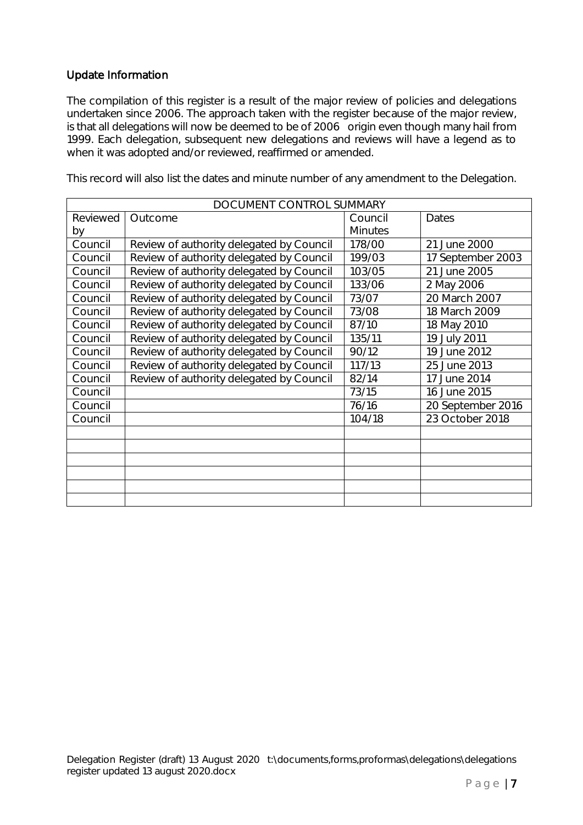# Update Information

The compilation of this register is a result of the major review of policies and delegations undertaken since 2006. The approach taken with the register because of the major review, is that all delegations will now be deemed to be of 2006 origin even though many hail from 1999. Each delegation, subsequent new delegations and reviews will have a legend as to when it was adopted and/or reviewed, reaffirmed or amended.

This record will also list the dates and minute number of any amendment to the Delegation.

| DOCUMENT CONTROL SUMMARY |                                          |                |                   |  |  |
|--------------------------|------------------------------------------|----------------|-------------------|--|--|
| Reviewed                 | Outcome                                  | Council        | Dates             |  |  |
| by                       |                                          | <b>Minutes</b> |                   |  |  |
| Council                  | Review of authority delegated by Council | 178/00         | 21 June 2000      |  |  |
| Council                  | Review of authority delegated by Council | 199/03         | 17 September 2003 |  |  |
| Council                  | Review of authority delegated by Council | 103/05         | 21 June 2005      |  |  |
| Council                  | Review of authority delegated by Council | 133/06         | 2 May 2006        |  |  |
| Council                  | Review of authority delegated by Council | 73/07          | 20 March 2007     |  |  |
| Council                  | Review of authority delegated by Council | 73/08          | 18 March 2009     |  |  |
| Council                  | Review of authority delegated by Council | 87/10          | 18 May 2010       |  |  |
| Council                  | Review of authority delegated by Council | 135/11         | 19 July 2011      |  |  |
| Council                  | Review of authority delegated by Council | 90/12          | 19 June 2012      |  |  |
| Council                  | Review of authority delegated by Council | 117/13         | 25 June 2013      |  |  |
| Council                  | Review of authority delegated by Council | 82/14          | 17 June 2014      |  |  |
| Council                  |                                          | 73/15          | 16 June 2015      |  |  |
| Council                  |                                          | 76/16          | 20 September 2016 |  |  |
| Council                  |                                          | 104/18         | 23 October 2018   |  |  |
|                          |                                          |                |                   |  |  |
|                          |                                          |                |                   |  |  |
|                          |                                          |                |                   |  |  |
|                          |                                          |                |                   |  |  |
|                          |                                          |                |                   |  |  |
|                          |                                          |                |                   |  |  |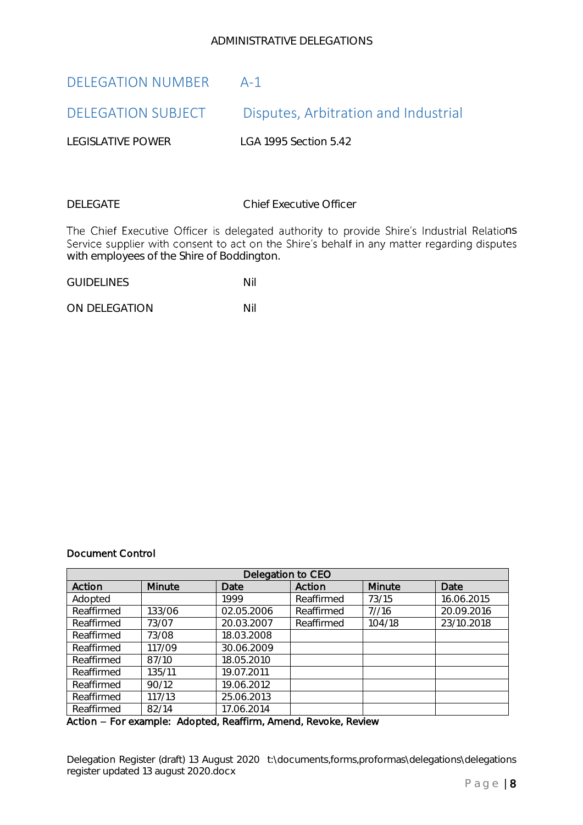# ADMINISTRATIVE DELEGATIONS

# <span id="page-7-1"></span><span id="page-7-0"></span>DELEGATION NUMBER A-1 DELEGATION SUBJECT Disputes, Arbitration and Industrial

LEGISLATIVE POWER LGA 1995 Section 5.42

DELEGATE Chief Executive Officer

The Chief Executive Officer is delegated authority to provide Shire's Industrial Relations<br>Service supplier with consent to act on the Shire's behalf in any matter regarding disputes with employees of the Shire of Boddington.

GUIDELINES Nil

ON DELEGATION Nil

# Document Control

| Delegation to CEO |        |            |            |               |            |
|-------------------|--------|------------|------------|---------------|------------|
| Action            | Minute | Date       | Action     | <b>Minute</b> | Date       |
| Adopted           |        | 1999       | Reaffirmed | 73/15         | 16.06.2015 |
| Reaffirmed        | 133/06 | 02.05.2006 | Reaffirmed | 7/16          | 20.09.2016 |
| Reaffirmed        | 73/07  | 20.03.2007 | Reaffirmed | 104/18        | 23/10.2018 |
| Reaffirmed        | 73/08  | 18.03.2008 |            |               |            |
| Reaffirmed        | 117/09 | 30.06.2009 |            |               |            |
| Reaffirmed        | 87/10  | 18.05.2010 |            |               |            |
| Reaffirmed        | 135/11 | 19.07.2011 |            |               |            |
| Reaffirmed        | 90/12  | 19.06.2012 |            |               |            |
| Reaffirmed        | 117/13 | 25.06.2013 |            |               |            |
| Reaffirmed        | 82/14  | 17.06.2014 |            |               |            |

Action - For example: Adopted, Reaffirm, Amend, Revoke, Review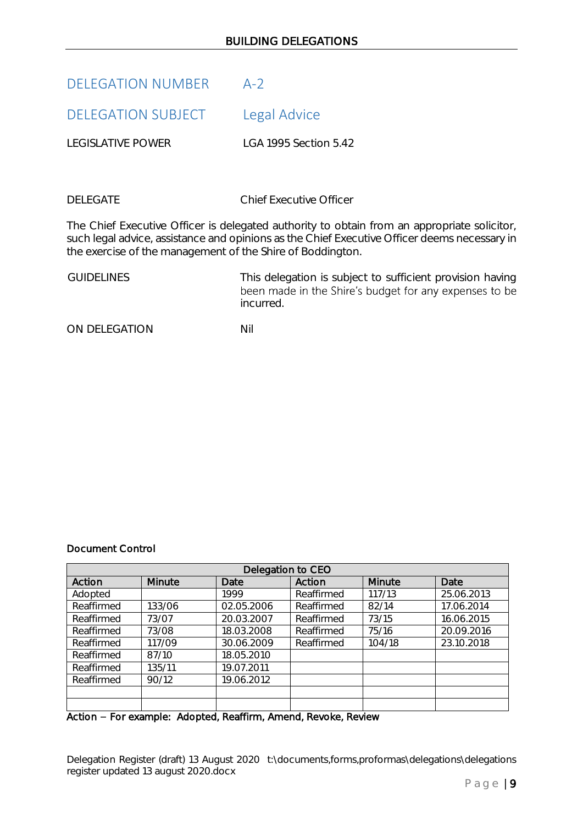<span id="page-8-1"></span><span id="page-8-0"></span>

| <b>DELEGATION NUMBER</b> | $A-2$                 |
|--------------------------|-----------------------|
| DELEGATION SUBJECT       | Legal Advice          |
| <b>LEGISLATIVE POWER</b> | LGA 1995 Section 5.42 |
|                          |                       |

DELEGATE Chief Executive Officer

The Chief Executive Officer is delegated authority to obtain from an appropriate solicitor, such legal advice, assistance and opinions as the Chief Executive Officer deems necessary in the exercise of the management of the Shire of Boddington.

GUIDELINES This delegation is subject to sufficient provision having<br>been made in the Shire's budget for any expenses to be incurred.

ON DELEGATION NIL

# Document Control

| Delegation to CEO |        |            |            |        |            |
|-------------------|--------|------------|------------|--------|------------|
| Action            | Minute | Date       | Action     | Minute | Date       |
| Adopted           |        | 1999       | Reaffirmed | 117/13 | 25.06.2013 |
| Reaffirmed        | 133/06 | 02.05.2006 | Reaffirmed | 82/14  | 17.06.2014 |
| Reaffirmed        | 73/07  | 20.03.2007 | Reaffirmed | 73/15  | 16.06.2015 |
| Reaffirmed        | 73/08  | 18.03.2008 | Reaffirmed | 75/16  | 20.09.2016 |
| Reaffirmed        | 117/09 | 30.06.2009 | Reaffirmed | 104/18 | 23.10.2018 |
| Reaffirmed        | 87/10  | 18.05.2010 |            |        |            |
| Reaffirmed        | 135/11 | 19.07.2011 |            |        |            |
| Reaffirmed        | 90/12  | 19.06.2012 |            |        |            |
|                   |        |            |            |        |            |
|                   |        |            |            |        |            |

Action - For example: Adopted, Reaffirm, Amend, Revoke, Review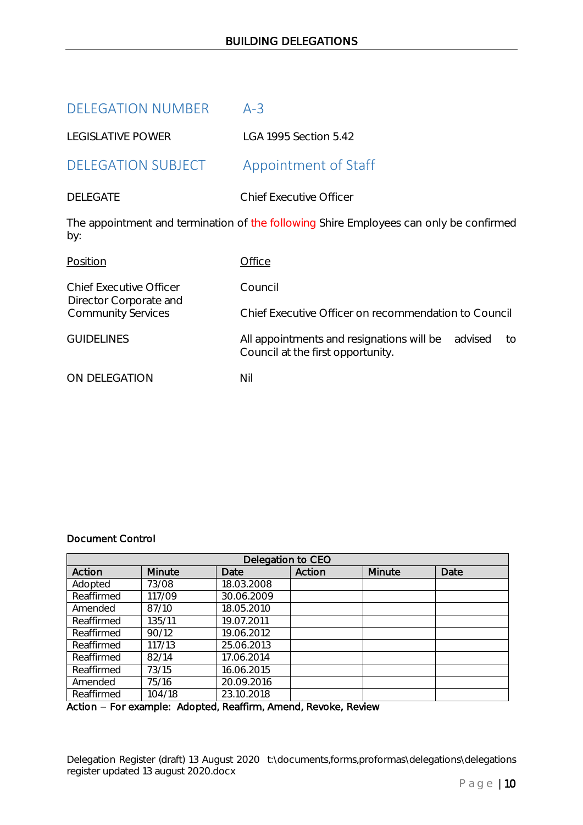<span id="page-9-1"></span><span id="page-9-0"></span>

| <b>DELEGATION NUMBER</b>                                 | $A-3$                                                                                           |
|----------------------------------------------------------|-------------------------------------------------------------------------------------------------|
| <b>LEGISLATIVE POWER</b>                                 | LGA 1995 Section 5.42                                                                           |
| <b>DELEGATION SUBJECT</b>                                | Appointment of Staff                                                                            |
| <b>DELEGATE</b>                                          | <b>Chief Executive Officer</b>                                                                  |
| by:                                                      | The appointment and termination of the following Shire Employees can only be confirmed          |
| Position                                                 | Office                                                                                          |
| <b>Chief Executive Officer</b><br>Director Corporate and | Council                                                                                         |
| <b>Community Services</b>                                | Chief Executive Officer on recommendation to Council                                            |
| <b>GUIDELINES</b>                                        | All appointments and resignations will be<br>advised<br>to<br>Council at the first opportunity. |
| ON DELEGATION                                            | Nil                                                                                             |

# Document Control

| Delegation to CEO |        |            |        |        |      |
|-------------------|--------|------------|--------|--------|------|
| Action            | Minute | Date       | Action | Minute | Date |
| Adopted           | 73/08  | 18.03.2008 |        |        |      |
| Reaffirmed        | 117/09 | 30.06.2009 |        |        |      |
| Amended           | 87/10  | 18.05.2010 |        |        |      |
| Reaffirmed        | 135/11 | 19.07.2011 |        |        |      |
| Reaffirmed        | 90/12  | 19.06.2012 |        |        |      |
| Reaffirmed        | 117/13 | 25.06.2013 |        |        |      |
| Reaffirmed        | 82/14  | 17.06.2014 |        |        |      |
| Reaffirmed        | 73/15  | 16.06.2015 |        |        |      |
| Amended           | 75/16  | 20.09.2016 |        |        |      |
| Reaffirmed        | 104/18 | 23.10.2018 |        |        |      |

Action - For example: Adopted, Reaffirm, Amend, Revoke, Review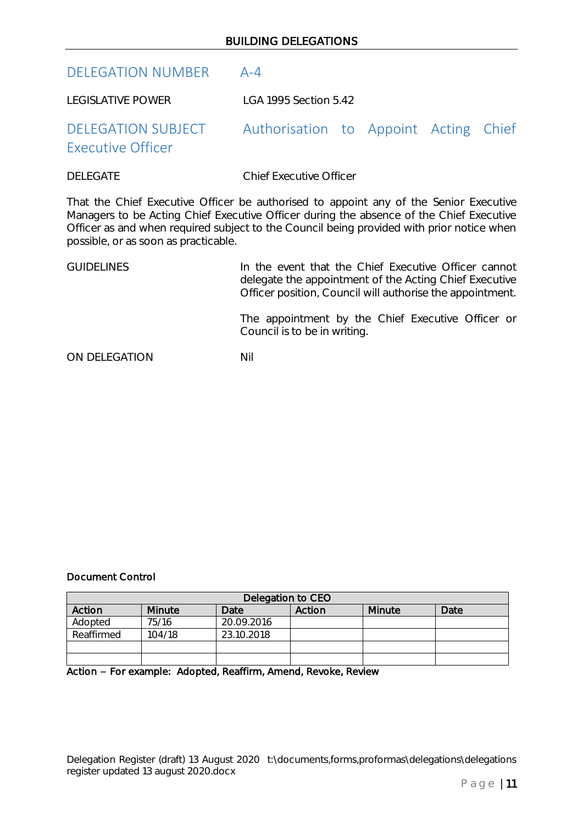# <span id="page-10-0"></span>DELEGATION NUMBER A-4

LEGISLATIVE POWER LGA 1995 Section 5.42

# <span id="page-10-1"></span>DELEGATION SUBJECT Authorisation to Appoint Acting Chief Executive Officer

DELEGATE Chief Executive Officer

That the Chief Executive Officer be authorised to appoint any of the Senior Executive Managers to be Acting Chief Executive Officer during the absence of the Chief Executive Officer as and when required subject to the Council being provided with prior notice when possible, or as soon as practicable.

# GUIDELINES **In the event that the Chief Executive Officer cannot** delegate the appointment of the Acting Chief Executive Officer position, Council will authorise the appointment.

The appointment by the Chief Executive Officer or Council is to be in writing.

ON DELEGATION NIL

# Document Control

| Delegation to CEO |               |            |        |        |      |
|-------------------|---------------|------------|--------|--------|------|
| Action            | <b>Minute</b> | Date       | Action | Minute | Date |
| Adopted           | 75/16         | 20.09.2016 |        |        |      |
| Reaffirmed        | 104/18        | 23.10.2018 |        |        |      |
|                   |               |            |        |        |      |
|                   |               |            |        |        |      |

Action - For example: Adopted, Reaffirm, Amend, Revoke, Review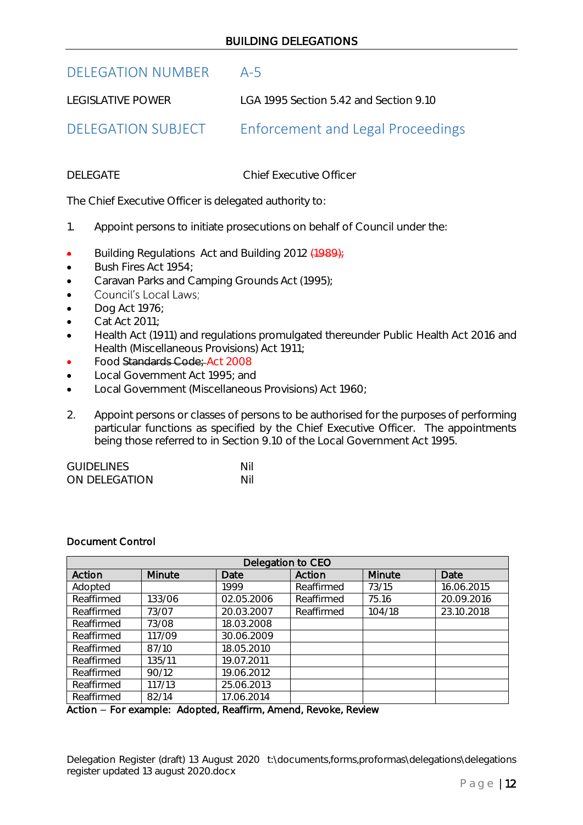# <span id="page-11-0"></span>DELEGATION NUMBER A-5

LEGISLATIVE POWER LGA 1995 Section 5.42 and Section 9.10

<span id="page-11-1"></span>DELEGATION SUBJECT Enforcement and Legal Proceedings

DELEGATE Chief Executive Officer

The Chief Executive Officer is delegated authority to:

- 1. Appoint persons to initiate prosecutions on behalf of Council under the:
- Building Regulations Act and Building 2012 (1989);
- Bush Fires Act 1954;
- Caravan Parks and Camping Grounds Act (1995);
- $\bullet$ Council's Local Laws;
- Dog Act 1976;
- Cat Act 2011;
- Health Act (1911) and regulations promulgated thereunder Public Health Act 2016 and Health (Miscellaneous Provisions) Act 1911;
- Food Standards Code; Act 2008
- Local Government Act 1995; and
- Local Government (Miscellaneous Provisions) Act 1960;
- 2. Appoint persons or classes of persons to be authorised for the purposes of performing particular functions as specified by the Chief Executive Officer. The appointments being those referred to in Section 9.10 of the Local Government Act 1995.

| <b>GUIDELINES</b> | Nil |  |
|-------------------|-----|--|
| ON DELEGATION     | Nil |  |

# Document Control

| Delegation to CEO |        |            |            |        |            |
|-------------------|--------|------------|------------|--------|------------|
| Action            | Minute | Date       | Action     | Minute | Date       |
| Adopted           |        | 1999       | Reaffirmed | 73/15  | 16.06.2015 |
| Reaffirmed        | 133/06 | 02.05.2006 | Reaffirmed | 75.16  | 20.09.2016 |
| Reaffirmed        | 73/07  | 20.03.2007 | Reaffirmed | 104/18 | 23.10.2018 |
| Reaffirmed        | 73/08  | 18.03.2008 |            |        |            |
| Reaffirmed        | 117/09 | 30.06.2009 |            |        |            |
| Reaffirmed        | 87/10  | 18.05.2010 |            |        |            |
| Reaffirmed        | 135/11 | 19.07.2011 |            |        |            |
| Reaffirmed        | 90/12  | 19.06.2012 |            |        |            |
| Reaffirmed        | 117/13 | 25.06.2013 |            |        |            |
| Reaffirmed        | 82/14  | 17.06.2014 |            |        |            |

Action - For example: Adopted, Reaffirm, Amend, Revoke, Review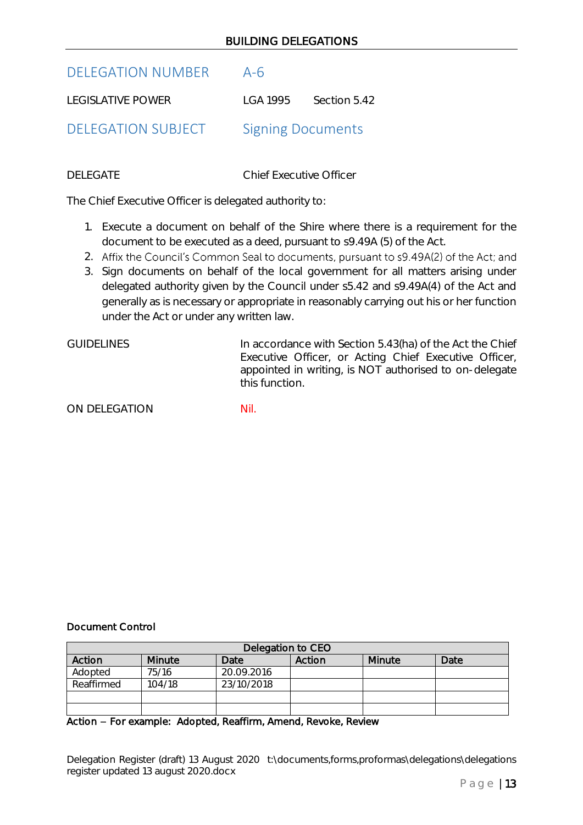# BUILDING DELEGATIONS

<span id="page-12-0"></span>

| DELEGATION NUMBER A-6 |                       |
|-----------------------|-----------------------|
| LEGISLATIVE POWER     | LGA 1995 Section 5.42 |

<span id="page-12-1"></span>DELEGATION SUBJECT Signing Documents

DELEGATE Chief Executive Officer

The Chief Executive Officer is delegated authority to:

- 1. Execute a document on behalf of the Shire where there is a requirement for the document to be executed as a deed, pursuant to s9.49A (5) of the Act.
- 2. Affix the Council's Common Seal to documents, pursuant to s9.49A(2) of the Act; and
- 3. Sign documents on behalf of the local government for all matters arising under delegated authority given by the Council under s5.42 and s9.49A(4) of the Act and generally as is necessary or appropriate in reasonably carrying out his or her function under the Act or under any written law.

GUIDELINES In accordance with Section 5.43(ha) of the Act the Chief Executive Officer, or Acting Chief Executive Officer, appointed in writing, is NOT authorised to on-delegate this function.

ON DELEGATION NII.

# Document Control

| Delegation to CEO |        |            |        |        |      |
|-------------------|--------|------------|--------|--------|------|
| Action            | Minute | Date       | Action | Minute | Date |
| Adopted           | 75/16  | 20.09.2016 |        |        |      |
| Reaffirmed        | 104/18 | 23/10/2018 |        |        |      |
|                   |        |            |        |        |      |
|                   |        |            |        |        |      |

### Action - For example: Adopted, Reaffirm, Amend, Revoke, Review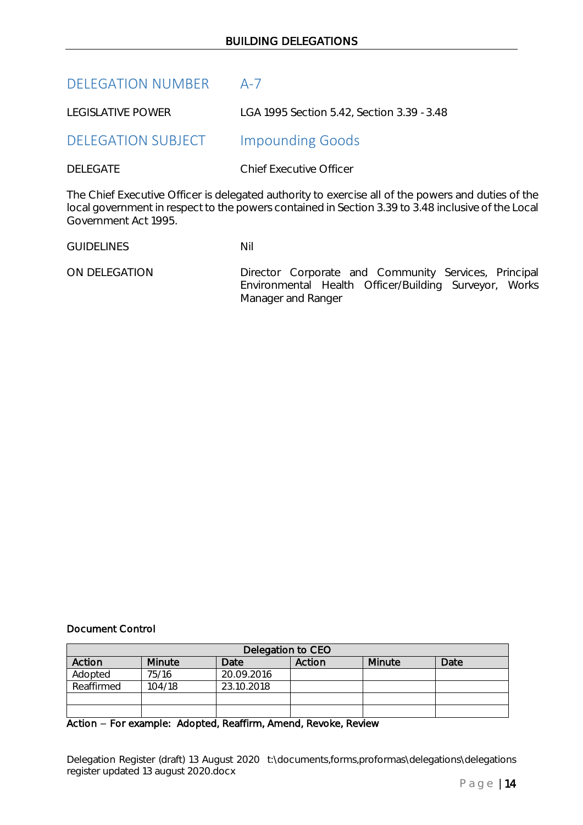<span id="page-13-1"></span><span id="page-13-0"></span>

| <b>DELEGATION NUMBER</b>  | $A - 7$                                                                          |
|---------------------------|----------------------------------------------------------------------------------|
| <b>LEGISLATIVE POWER</b>  | LGA 1995 Section 5.42, Section 3.39 - 3.48                                       |
| <b>DELEGATION SUBJECT</b> | <b>Impounding Goods</b>                                                          |
| <b>DELEGATE</b>           | <b>Chief Executive Officer</b>                                                   |
|                           | The Chief Executive Officer is delegated authority to exercise all of the powers |

and duties of the local government in respect to the powers contained in Section 3.39 to 3.48 inclusive of the Local Government Act 1995.

GUIDELINES Nil

 ON DELEGATION Director Corporate and Community Services, Principal Environmental Health Officer/Building Surveyor, Works Manager and Ranger

# Document Control

| Delegation to CEO |        |            |        |        |      |
|-------------------|--------|------------|--------|--------|------|
| Action            | Minute | Date       | Action | Minute | Date |
| Adopted           | 75/16  | 20.09.2016 |        |        |      |
| Reaffirmed        | 104/18 | 23.10.2018 |        |        |      |
|                   |        |            |        |        |      |
|                   |        |            |        |        |      |

Action - For example: Adopted, Reaffirm, Amend, Revoke, Review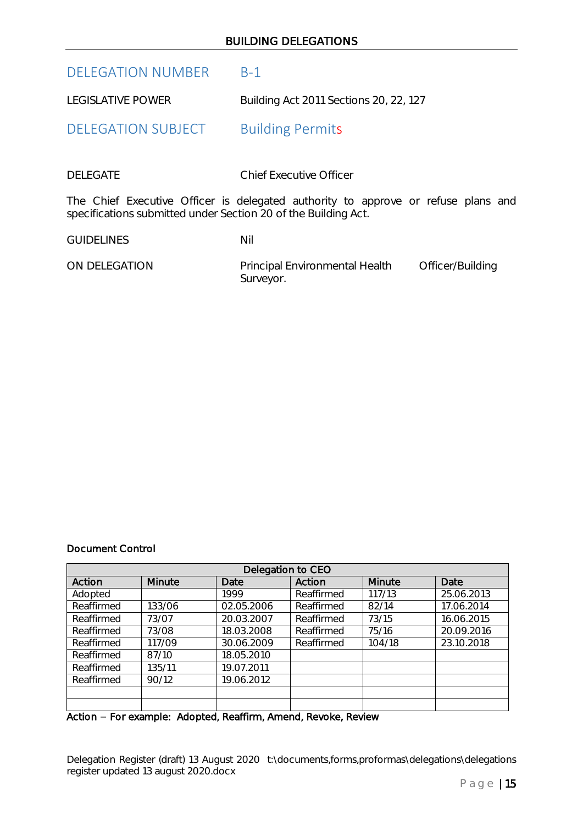# BUILDING DELEGATIONS

<span id="page-14-0"></span>DELEGATION NUMBER B-1

<span id="page-14-1"></span>LEGISLATIVE POWER Building Act 2011 Sections 20, 22, 127

DELEGATION SUBJECT Building Permits

DELEGATE Chief Executive Officer

The Chief Executive Officer is delegated authority to approve or refuse plans and specifications submitted under Section 20 of the Building Act.

GUIDELINES Nil

ON DELEGATION Principal Environmental Health Officer/Building Surveyor.

### Document Control

| Delegation to CEO |        |            |            |        |            |
|-------------------|--------|------------|------------|--------|------------|
| Action            | Minute | Date       | Action     | Minute | Date       |
| Adopted           |        | 1999       | Reaffirmed | 117/13 | 25.06.2013 |
| Reaffirmed        | 133/06 | 02.05.2006 | Reaffirmed | 82/14  | 17.06.2014 |
| Reaffirmed        | 73/07  | 20.03.2007 | Reaffirmed | 73/15  | 16.06.2015 |
| Reaffirmed        | 73/08  | 18.03.2008 | Reaffirmed | 75/16  | 20.09.2016 |
| Reaffirmed        | 117/09 | 30.06.2009 | Reaffirmed | 104/18 | 23.10.2018 |
| Reaffirmed        | 87/10  | 18.05.2010 |            |        |            |
| Reaffirmed        | 135/11 | 19.07.2011 |            |        |            |
| Reaffirmed        | 90/12  | 19.06.2012 |            |        |            |
|                   |        |            |            |        |            |
|                   |        |            |            |        |            |

Action - For example: Adopted, Reaffirm, Amend, Revoke, Review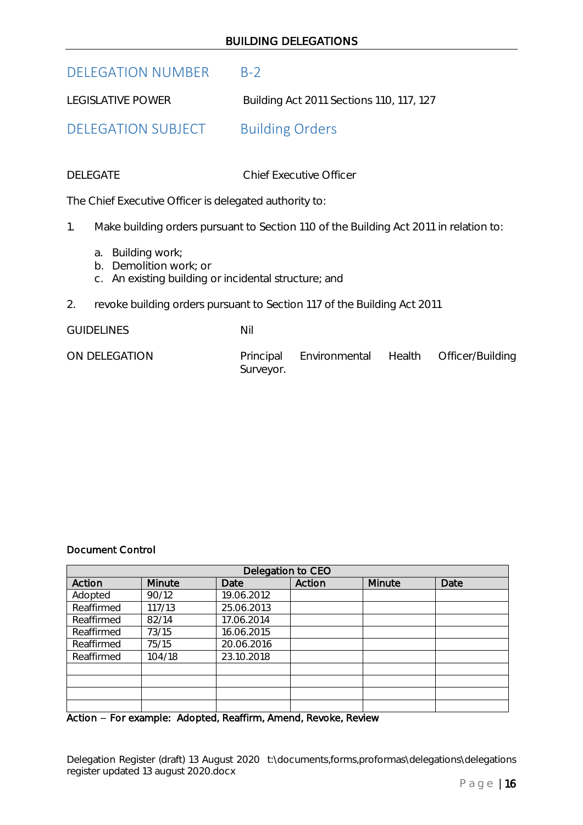# BUILDING DELEGATIONS

# <span id="page-15-0"></span>DELEGATION NUMBER B-2

LEGISLATIVE POWER Building Act 2011 Sections 110, 117, 127

<span id="page-15-1"></span>DELEGATION SUBJECT Building Orders

DELEGATE Chief Executive Officer

The Chief Executive Officer is delegated authority to:

1. Make building orders pursuant to Section 110 of the Building Act 2011 in relation to:

- a. Building work;
- b. Demolition work; or
- c. An existing building or incidental structure; and
- 2. revoke building orders pursuant to Section 117 of the Building Act 2011

GUIDELINES Nil

ON DELEGATION Principal Environmental Health Officer/Building Surveyor.

### Document Control

| Delegation to CEO |        |            |        |        |      |
|-------------------|--------|------------|--------|--------|------|
| Action            | Minute | Date       | Action | Minute | Date |
| Adopted           | 90/12  | 19.06.2012 |        |        |      |
| Reaffirmed        | 117/13 | 25.06.2013 |        |        |      |
| Reaffirmed        | 82/14  | 17.06.2014 |        |        |      |
| Reaffirmed        | 73/15  | 16.06.2015 |        |        |      |
| Reaffirmed        | 75/15  | 20.06.2016 |        |        |      |
| Reaffirmed        | 104/18 | 23.10.2018 |        |        |      |
|                   |        |            |        |        |      |
|                   |        |            |        |        |      |
|                   |        |            |        |        |      |
|                   |        |            |        |        |      |

Action - For example: Adopted, Reaffirm, Amend, Revoke, Review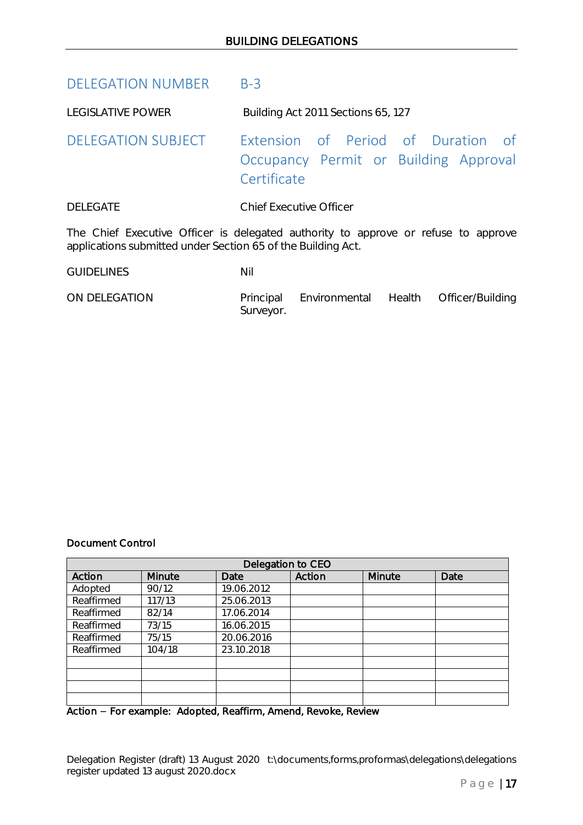<span id="page-16-0"></span>DELEGATION NUMBER B-3

<span id="page-16-1"></span>LEGISLATIVE POWER Building Act 2011 Sections 65, 127

DELEGATION SUBJECT Extension of Period of Duration of Occupancy Permit or Building Approval **Certificate** 

DELEGATE Chief Executive Officer

The Chief Executive Officer is delegated authority to approve or refuse to approve applications submitted under Section 65 of the Building Act.

GUIDELINES Nil

ON DELEGATION Principal Environmental Health Officer/Building Surveyor.

# Document Control

|            | Delegation to CEO |            |        |        |      |  |
|------------|-------------------|------------|--------|--------|------|--|
| Action     | Minute            | Date       | Action | Minute | Date |  |
| Adopted    | 90/12             | 19.06.2012 |        |        |      |  |
| Reaffirmed | 117/13            | 25.06.2013 |        |        |      |  |
| Reaffirmed | 82/14             | 17.06.2014 |        |        |      |  |
| Reaffirmed | 73/15             | 16.06.2015 |        |        |      |  |
| Reaffirmed | 75/15             | 20.06.2016 |        |        |      |  |
| Reaffirmed | 104/18            | 23.10.2018 |        |        |      |  |
|            |                   |            |        |        |      |  |
|            |                   |            |        |        |      |  |
|            |                   |            |        |        |      |  |
|            |                   |            |        |        |      |  |

Action - For example: Adopted, Reaffirm, Amend, Revoke, Review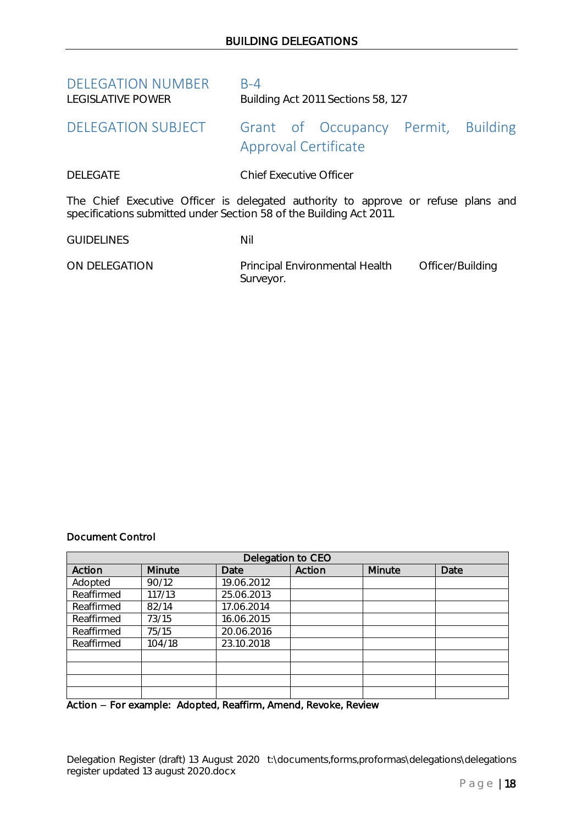<span id="page-17-1"></span><span id="page-17-0"></span>

| <b>DELEGATION NUMBER</b><br><b>LEGISLATIVE POWER</b>                | $B-4$<br>Building Act 2011 Sections 58, 127                                       |
|---------------------------------------------------------------------|-----------------------------------------------------------------------------------|
| <b>DELEGATION SUBJECT</b>                                           | Grant of Occupancy Permit,<br><b>Building</b><br><b>Approval Certificate</b>      |
| <b>DELEGATE</b>                                                     | <b>Chief Executive Officer</b>                                                    |
| specifications submitted under Section 58 of the Building Act 2011. | The Chief Executive Officer is delegated authority to approve or refuse plans and |
| <b>GUIDELINES</b>                                                   | Nil                                                                               |
| ON DELEGATION                                                       | Principal Environmental Health<br>Officer/Building<br>Surveyor.                   |

### Document Control

| Delegation to CEO |        |            |        |        |      |
|-------------------|--------|------------|--------|--------|------|
| Action            | Minute | Date       | Action | Minute | Date |
| Adopted           | 90/12  | 19.06.2012 |        |        |      |
| Reaffirmed        | 117/13 | 25.06.2013 |        |        |      |
| Reaffirmed        | 82/14  | 17.06.2014 |        |        |      |
| Reaffirmed        | 73/15  | 16.06.2015 |        |        |      |
| Reaffirmed        | 75/15  | 20.06.2016 |        |        |      |
| Reaffirmed        | 104/18 | 23.10.2018 |        |        |      |
|                   |        |            |        |        |      |
|                   |        |            |        |        |      |
|                   |        |            |        |        |      |
|                   |        |            |        |        |      |

Action – For example: Adopted, Reaffirm, Amend, Revoke, Review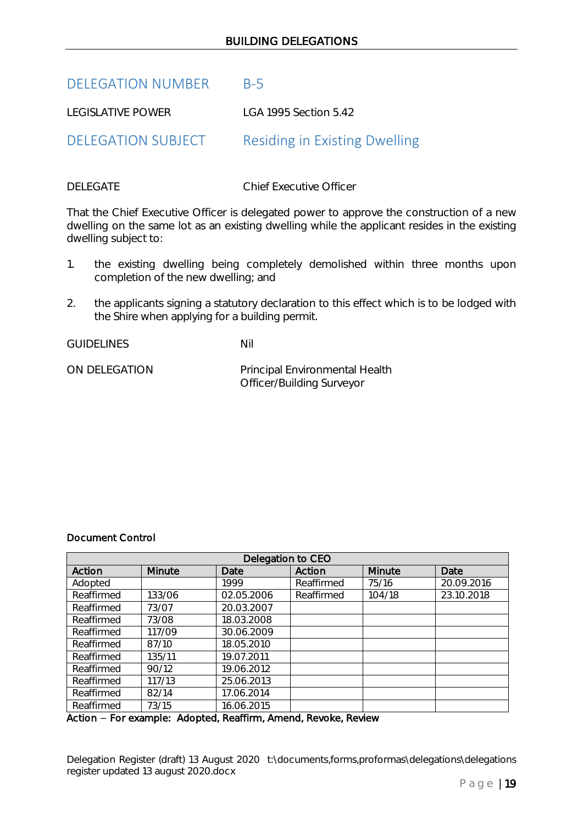# BUILDING DELEGATIONS

# <span id="page-18-0"></span>DELEGATION NUMBER B-5

<span id="page-18-1"></span>LEGISLATIVE POWER LGA 1995 Section 5.42

DELEGATION SUBJECT Residing in Existing Dwelling

DELEGATE Chief Executive Officer

That the Chief Executive Officer is delegated power to approve the construction of a new dwelling on the same lot as an existing dwelling while the applicant resides in the existing dwelling subject to:

- 1. the existing dwelling being completely demolished within three months upon completion of the new dwelling; and
- 2. the applicants signing a statutory declaration to this effect which is to be lodged with the Shire when applying for a building permit.

GUIDELINES Nil

ON DELEGATION Principal Environmental Health Officer/Building Surveyor

# Document Control

| Delegation to CEO |        |            |            |        |            |
|-------------------|--------|------------|------------|--------|------------|
| Action            | Minute | Date       | Action     | Minute | Date       |
| Adopted           |        | 1999       | Reaffirmed | 75/16  | 20.09.2016 |
| Reaffirmed        | 133/06 | 02.05.2006 | Reaffirmed | 104/18 | 23.10.2018 |
| Reaffirmed        | 73/07  | 20.03.2007 |            |        |            |
| Reaffirmed        | 73/08  | 18.03.2008 |            |        |            |
| Reaffirmed        | 117/09 | 30.06.2009 |            |        |            |
| Reaffirmed        | 87/10  | 18.05.2010 |            |        |            |
| Reaffirmed        | 135/11 | 19.07.2011 |            |        |            |
| Reaffirmed        | 90/12  | 19.06.2012 |            |        |            |
| Reaffirmed        | 117/13 | 25.06.2013 |            |        |            |
| Reaffirmed        | 82/14  | 17.06.2014 |            |        |            |
| Reaffirmed        | 73/15  | 16.06.2015 |            |        |            |

# Action - For example: Adopted, Reaffirm, Amend, Revoke, Review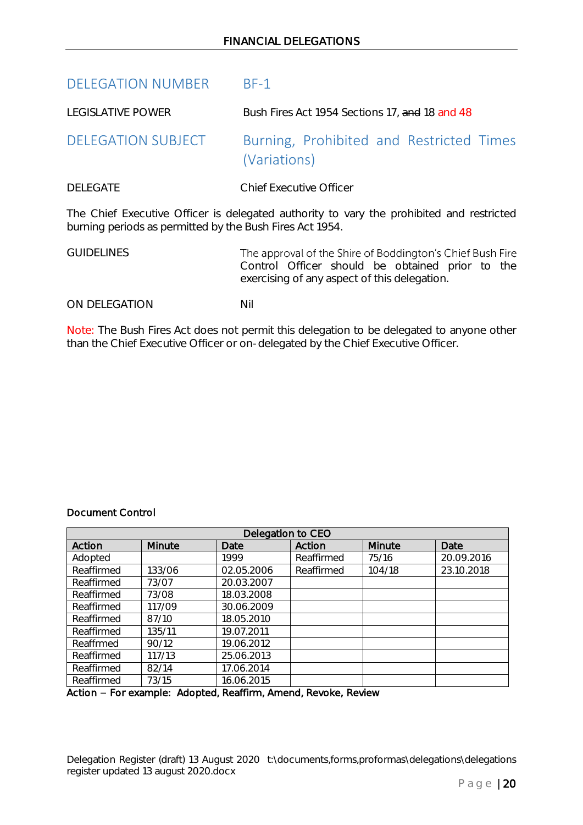<span id="page-19-1"></span><span id="page-19-0"></span>

| <b>DELEGATION NUMBER</b>                                 | $BF-1$                                                                                                                                                       |
|----------------------------------------------------------|--------------------------------------------------------------------------------------------------------------------------------------------------------------|
| <b>LEGISLATIVE POWER</b>                                 | Bush Fires Act 1954 Sections 17, and 18 and 48                                                                                                               |
| <b>DELEGATION SUBJECT</b>                                | Burning, Prohibited and Restricted Times<br>(Variations)                                                                                                     |
| <b>DELEGATE</b>                                          | Chief Executive Officer                                                                                                                                      |
| burning periods as permitted by the Bush Fires Act 1954. | The Chief Executive Officer is delegated authority to vary the prohibited and restricted                                                                     |
| <b>GUIDELINES</b>                                        | The approval of the Shire of Boddington's Chief Bush Fire<br>Control Officer should be obtained prior to the<br>exercising of any aspect of this delegation. |
| ON DELEGATION                                            | Nil                                                                                                                                                          |
|                                                          |                                                                                                                                                              |

Note: The Bush Fires Act does not permit this delegation to be delegated to anyone other than the Chief Executive Officer or on-delegated by the Chief Executive Officer.

# Document Control

| Delegation to CEO |                                                           |            |            |        |            |  |  |
|-------------------|-----------------------------------------------------------|------------|------------|--------|------------|--|--|
| Action            | Minute                                                    | Date       | Action     | Minute | Date       |  |  |
| Adopted           |                                                           | 1999       | Reaffirmed | 75/16  | 20.09.2016 |  |  |
| Reaffirmed        | 133/06                                                    | 02.05.2006 | Reaffirmed | 104/18 | 23.10.2018 |  |  |
| Reaffirmed        | 73/07                                                     | 20.03.2007 |            |        |            |  |  |
| Reaffirmed        | 73/08                                                     | 18.03.2008 |            |        |            |  |  |
| Reaffirmed        | 117/09                                                    | 30.06.2009 |            |        |            |  |  |
| Reaffirmed        | 87/10                                                     | 18.05.2010 |            |        |            |  |  |
| Reaffirmed        | 135/11                                                    | 19.07.2011 |            |        |            |  |  |
| Reaffrmed         | 90/12                                                     | 19.06.2012 |            |        |            |  |  |
| Reaffirmed        | 117/13                                                    | 25.06.2013 |            |        |            |  |  |
| Reaffirmed        | 82/14                                                     | 17.06.2014 |            |        |            |  |  |
| Reaffirmed        | 73/15                                                     | 16.06.2015 |            |        |            |  |  |
|                   | Action Forguample: Adopted Decffirm Amend Dougles Doubour |            |            |        |            |  |  |

Action - For example: Adopted, Reaffirm, Amend, Revoke, Review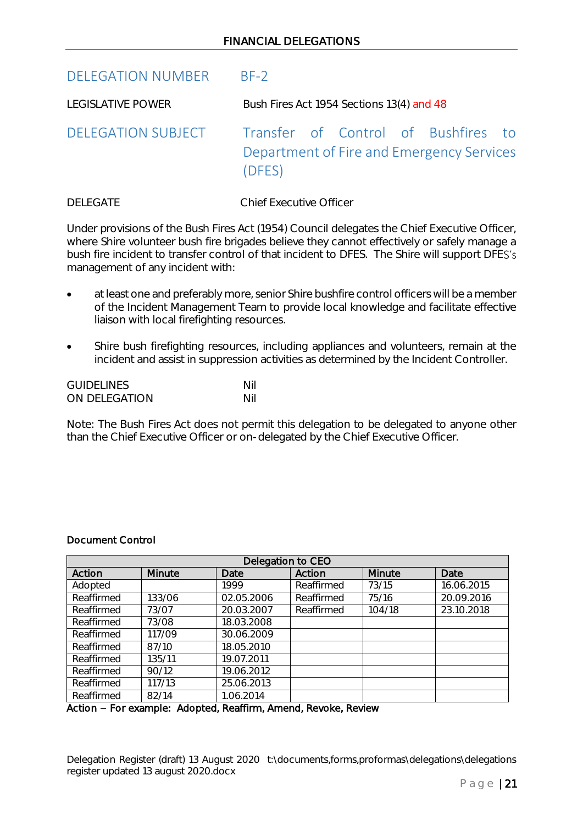<span id="page-20-1"></span><span id="page-20-0"></span>

| <b>DELEGATION NUMBER</b> | $BF-2$                                                                                     |
|--------------------------|--------------------------------------------------------------------------------------------|
| <b>LEGISLATIVE POWER</b> | Bush Fires Act 1954 Sections 13(4) and 48                                                  |
| DELEGATION SUBJECT       | Transfer of Control of Bushfires to<br>Department of Fire and Emergency Services<br>(DFES) |

DELEGATE Chief Executive Officer

Under provisions of the Bush Fires Act (1954) Council delegates the Chief Executive Officer, where Shire volunteer bush fire brigades believe they cannot effectively or safely manage a bush fire incident to transfer control of that incident to DFES. The Shire will support DFES's management of any incident with:

- at least one and preferably more, senior Shire bushfire control officers will be a member of the Incident Management Team to provide local knowledge and facilitate effective liaison with local firefighting resources.
- Shire bush firefighting resources, including appliances and volunteers, remain at the incident and assist in suppression activities as determined by the Incident Controller.

| <b>GUIDELINES</b> | Nil |
|-------------------|-----|
| ON DELEGATION     | Nil |

Note: The Bush Fires Act does not permit this delegation to be delegated to anyone other than the Chief Executive Officer or on-delegated by the Chief Executive Officer.

# Document Control

| Delegation to CEO |        |            |            |        |            |
|-------------------|--------|------------|------------|--------|------------|
| Action            | Minute | Date       | Action     | Minute | Date       |
| Adopted           |        | 1999       | Reaffirmed | 73/15  | 16.06.2015 |
| Reaffirmed        | 133/06 | 02.05.2006 | Reaffirmed | 75/16  | 20.09.2016 |
| Reaffirmed        | 73/07  | 20.03.2007 | Reaffirmed | 104/18 | 23.10.2018 |
| Reaffirmed        | 73/08  | 18.03.2008 |            |        |            |
| Reaffirmed        | 117/09 | 30.06.2009 |            |        |            |
| Reaffirmed        | 87/10  | 18.05.2010 |            |        |            |
| Reaffirmed        | 135/11 | 19.07.2011 |            |        |            |
| Reaffirmed        | 90/12  | 19.06.2012 |            |        |            |
| Reaffirmed        | 117/13 | 25.06.2013 |            |        |            |
| Reaffirmed        | 82/14  | 1.06.2014  |            |        |            |

Action - For example: Adopted, Reaffirm, Amend, Revoke, Review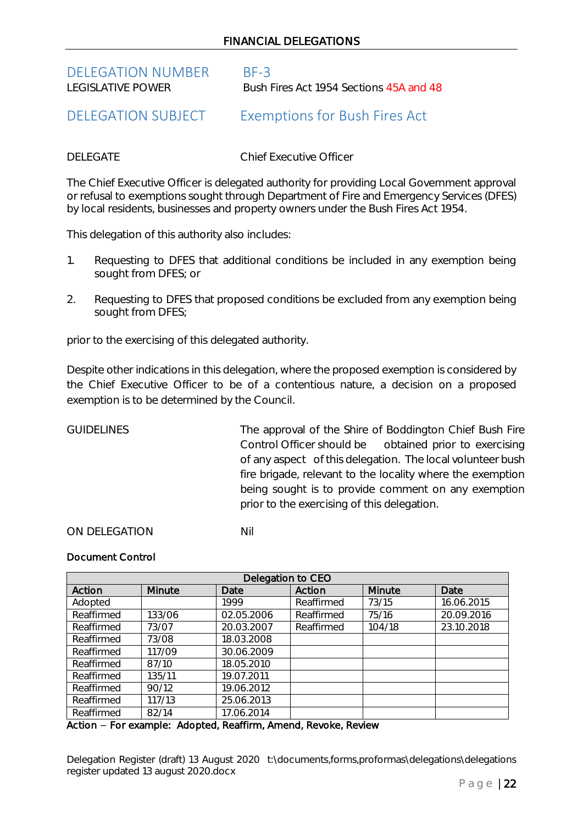# FINANCIAL DELEGATIONS

# <span id="page-21-0"></span>DELEGATION NUMBER BF-3<br>LEGISLATIVE POWER BUSH

Bush Fires Act 1954 Sections 45A and 48

# <span id="page-21-1"></span>DELEGATION SUBJECT Exemptions for Bush Fires Act

DELEGATE Chief Executive Officer

The Chief Executive Officer is delegated authority for providing Local Government approval or refusal to exemptions sought through Department of Fire and Emergency Services (DFES) by local residents, businesses and property owners under the Bush Fires Act 1954.

This delegation of this authority also includes:

- 1. Requesting to DFES that additional conditions be included in any exemption being sought from DFES; or
- 2. Requesting to DFES that proposed conditions be excluded from any exemption being sought from DFES;

prior to the exercising of this delegated authority.

Despite other indications in this delegation, where the proposed exemption is considered by the Chief Executive Officer to be of a contentious nature, a decision on a proposed exemption is to be determined by the Council.

GUIDELINES The approval of the Shire of Boddington Chief Bush Fire Control Officer should be obtained prior to exercising of any aspect of this delegation. The local volunteer bush fire brigade, relevant to the locality where the exemption being sought is to provide comment on any exemption prior to the exercising of this delegation.

ON DELEGATION Nil

# Document Control

| Delegation to CEO |        |            |            |               |            |
|-------------------|--------|------------|------------|---------------|------------|
| Action            | Minute | Date       | Action     | <b>Minute</b> | Date       |
| Adopted           |        | 1999       | Reaffirmed | 73/15         | 16.06.2015 |
| Reaffirmed        | 133/06 | 02.05.2006 | Reaffirmed | 75/16         | 20.09.2016 |
| Reaffirmed        | 73/07  | 20.03.2007 | Reaffirmed | 104/18        | 23.10.2018 |
| Reaffirmed        | 73/08  | 18.03.2008 |            |               |            |
| Reaffirmed        | 117/09 | 30.06.2009 |            |               |            |
| Reaffirmed        | 87/10  | 18.05.2010 |            |               |            |
| Reaffirmed        | 135/11 | 19.07.2011 |            |               |            |
| Reaffirmed        | 90/12  | 19.06.2012 |            |               |            |
| Reaffirmed        | 117/13 | 25.06.2013 |            |               |            |
| Reaffirmed        | 82/14  | 17.06.2014 |            |               |            |

Action – For example: Adopted, Reaffirm, Amend, Revoke, Review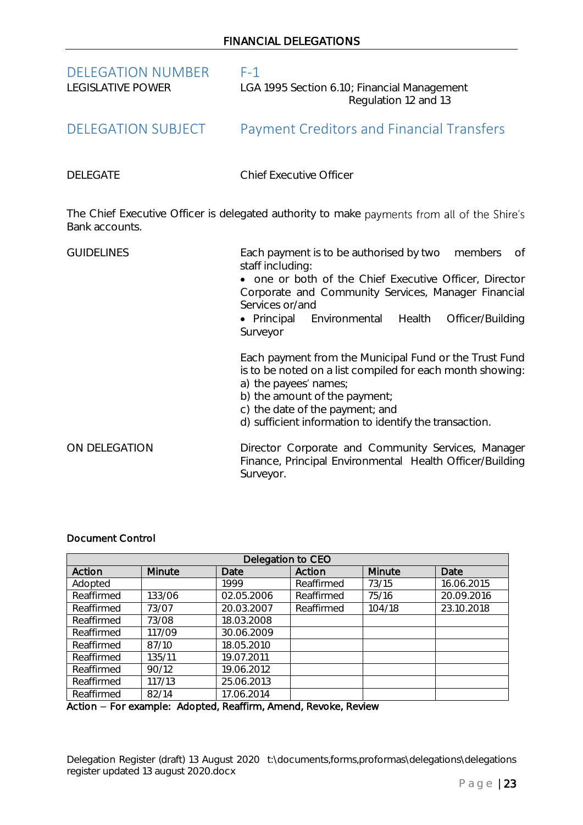<span id="page-22-1"></span><span id="page-22-0"></span>

| <b>DELEGATION NUMBER</b><br><b>LEGISLATIVE POWER</b> | $F-1$<br>LGA 1995 Section 6.10; Financial Management<br>Regulation 12 and 13                                                                                                                                                                                                                |
|------------------------------------------------------|---------------------------------------------------------------------------------------------------------------------------------------------------------------------------------------------------------------------------------------------------------------------------------------------|
| <b>DELEGATION SUBJECT</b>                            | <b>Payment Creditors and Financial Transfers</b>                                                                                                                                                                                                                                            |
| <b>DELEGATE</b>                                      | <b>Chief Executive Officer</b>                                                                                                                                                                                                                                                              |
| Bank accounts.                                       | The Chief Executive Officer is delegated authority to make payments from all of the Shire's                                                                                                                                                                                                 |
| <b>GUIDELINES</b>                                    | Each payment is to be authorised by two<br>members<br><b>of</b><br>staff including:<br>• one or both of the Chief Executive Officer, Director<br>Corporate and Community Services, Manager Financial<br>Services or/and<br>· Principal Environmental Health<br>Officer/Building<br>Surveyor |
|                                                      | Each payment from the Municipal Fund or the Trust Fund<br>is to be noted on a list compiled for each month showing:<br>a) the payees' names;<br>b) the amount of the payment;<br>c) the date of the payment; and<br>d) sufficient information to identify the transaction.                  |
| ON DELEGATION                                        | Director Corporate and Community Services, Manager<br>Finance, Principal Environmental Health Officer/Building<br>Surveyor.                                                                                                                                                                 |

# Document Control

| Delegation to CEO |        |            |            |        |            |
|-------------------|--------|------------|------------|--------|------------|
| Action            | Minute | Date       | Action     | Minute | Date       |
| Adopted           |        | 1999       | Reaffirmed | 73/15  | 16.06.2015 |
| Reaffirmed        | 133/06 | 02.05.2006 | Reaffirmed | 75/16  | 20.09.2016 |
| Reaffirmed        | 73/07  | 20.03.2007 | Reaffirmed | 104/18 | 23.10.2018 |
| Reaffirmed        | 73/08  | 18.03.2008 |            |        |            |
| Reaffirmed        | 117/09 | 30.06.2009 |            |        |            |
| Reaffirmed        | 87/10  | 18.05.2010 |            |        |            |
| Reaffirmed        | 135/11 | 19.07.2011 |            |        |            |
| Reaffirmed        | 90/12  | 19.06.2012 |            |        |            |
| Reaffirmed        | 117/13 | 25.06.2013 |            |        |            |
| Reaffirmed        | 82/14  | 17.06.2014 |            |        |            |

Action - For example: Adopted, Reaffirm, Amend, Revoke, Review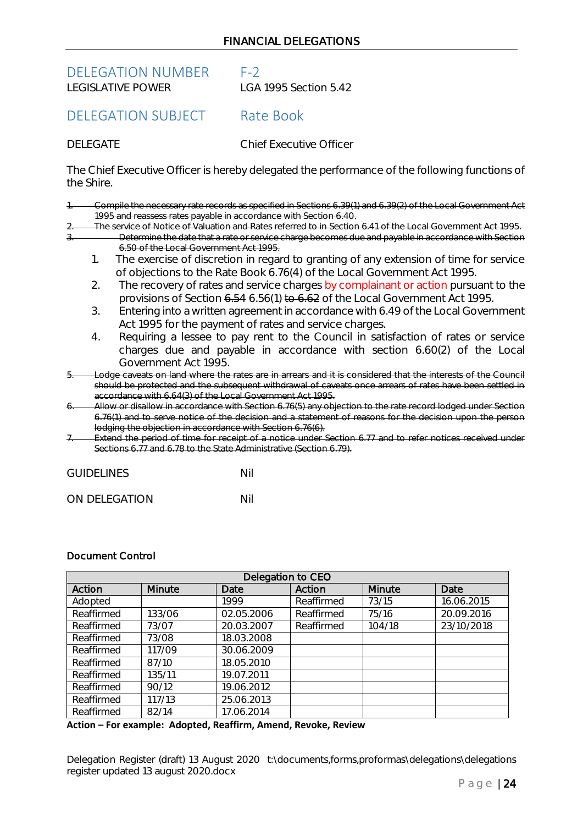<span id="page-23-0"></span>DELEGATION NUMBER F-2<br>LEGISLATIVE POWER LGA

LGA 1995 Section 5.42

<span id="page-23-1"></span>DELEGATION SUBJECT Rate Book

DELEGATE Chief Executive Officer

The Chief Executive Officer is hereby delegated the performance of the following functions of the Shire.

- 1. Compile the necessary rate records as specified in Sections 6.39(1) and 6.39(2) of the Local Government Act 1995 and reassess rates payable in accordance with Section 6.40.
	- 2. The service of Notice of Valuation and Rates referred to in Section 6.41 of the Local Government Act 1995.
		- Determine the date that a rate or service charge becomes due and payable in accordance with Section 6.50 of the Local Government Act 1995.
		- 1. The exercise of discretion in regard to granting of any extension of time for service of objections to the Rate Book 6.76(4) of the Local Government Act 1995.
		- 2. The recovery of rates and service charges by complainant or action pursuant to the provisions of Section 6.54 6.56(1) to 6.62 of the Local Government Act 1995.
		- 3. Entering into a written agreement in accordance with 6.49 of the Local Government Act 1995 for the payment of rates and service charges.
		- 4. Requiring a lessee to pay rent to the Council in satisfaction of rates or service charges due and payable in accordance with section 6.60(2) of the Local Government Act 1995.
- odge caveats on land where the rates are in arrears and it is considered that the interests of the Council should be protected and the subsequent withdrawal of caveats once arrears of rates have been settled in accordance with 6.64(3) of the Local Government Act 1995.
- Allow or disallow in accordance with Section 6.76(5) any objection to the rate record lodged under Section 6.76(1) and to serve notice of the decision and a statement of reasons for the decision upon the person lodging the objection in accordance with Section 6.76(6).
- Extend the period of time for receipt of a notice under Section 6.77 and to refer notices received under Sections 6.77 and 6.78 to the State Administrative (Section 6.79).

| <b>GUIDELINES</b> | Nil |
|-------------------|-----|
|                   |     |

ON DELEGATION NIL

# Document Control

| Delegation to CEO |        |            |            |        |            |
|-------------------|--------|------------|------------|--------|------------|
| Action            | Minute | Date       | Action     | Minute | Date       |
| Adopted           |        | 1999       | Reaffirmed | 73/15  | 16.06.2015 |
| Reaffirmed        | 133/06 | 02.05.2006 | Reaffirmed | 75/16  | 20.09.2016 |
| Reaffirmed        | 73/07  | 20.03.2007 | Reaffirmed | 104/18 | 23/10/2018 |
| Reaffirmed        | 73/08  | 18.03.2008 |            |        |            |
| Reaffirmed        | 117/09 | 30.06.2009 |            |        |            |
| Reaffirmed        | 87/10  | 18.05.2010 |            |        |            |
| Reaffirmed        | 135/11 | 19.07.2011 |            |        |            |
| Reaffirmed        | 90/12  | 19.06.2012 |            |        |            |
| Reaffirmed        | 117/13 | 25.06.2013 |            |        |            |
| Reaffirmed        | 82/14  | 17.06.2014 |            |        |            |

**Action – For example: Adopted, Reaffirm, Amend, Revoke, Review**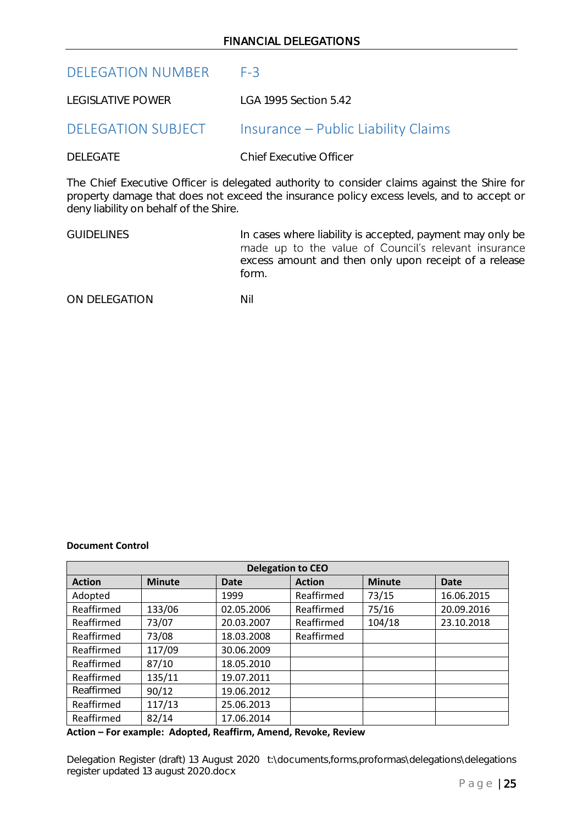# <span id="page-24-0"></span>DELEGATION NUMBER F-3

LEGISLATIVE POWER LGA 1995 Section 5.42

# <span id="page-24-1"></span>DELEGATION SUBJECT Insurance – Public Liability Claims

DELEGATE Chief Executive Officer

The Chief Executive Officer is delegated authority to consider claims against the Shire for property damage that does not exceed the insurance policy excess levels, and to accept or deny liability on behalf of the Shire.

| <b>GUIDELINES</b> | In cases where liability is accepted, payment may only be |
|-------------------|-----------------------------------------------------------|
|                   | made up to the value of Council's relevant insurance      |
|                   | excess amount and then only upon receipt of a release     |
|                   | form.                                                     |

ON DELEGATION NII

# **Document Control**

| <b>Delegation to CEO</b> |               |            |               |               |             |
|--------------------------|---------------|------------|---------------|---------------|-------------|
| <b>Action</b>            | <b>Minute</b> | Date       | <b>Action</b> | <b>Minute</b> | <b>Date</b> |
| Adopted                  |               | 1999       | Reaffirmed    | 73/15         | 16.06.2015  |
| Reaffirmed               | 133/06        | 02.05.2006 | Reaffirmed    | 75/16         | 20.09.2016  |
| Reaffirmed               | 73/07         | 20.03.2007 | Reaffirmed    | 104/18        | 23.10.2018  |
| Reaffirmed               | 73/08         | 18.03.2008 | Reaffirmed    |               |             |
| Reaffirmed               | 117/09        | 30.06.2009 |               |               |             |
| Reaffirmed               | 87/10         | 18.05.2010 |               |               |             |
| Reaffirmed               | 135/11        | 19.07.2011 |               |               |             |
| Reaffirmed               | 90/12         | 19.06.2012 |               |               |             |
| Reaffirmed               | 117/13        | 25.06.2013 |               |               |             |
| Reaffirmed               | 82/14         | 17.06.2014 |               |               |             |

**Action – For example: Adopted, Reaffirm, Amend, Revoke, Review**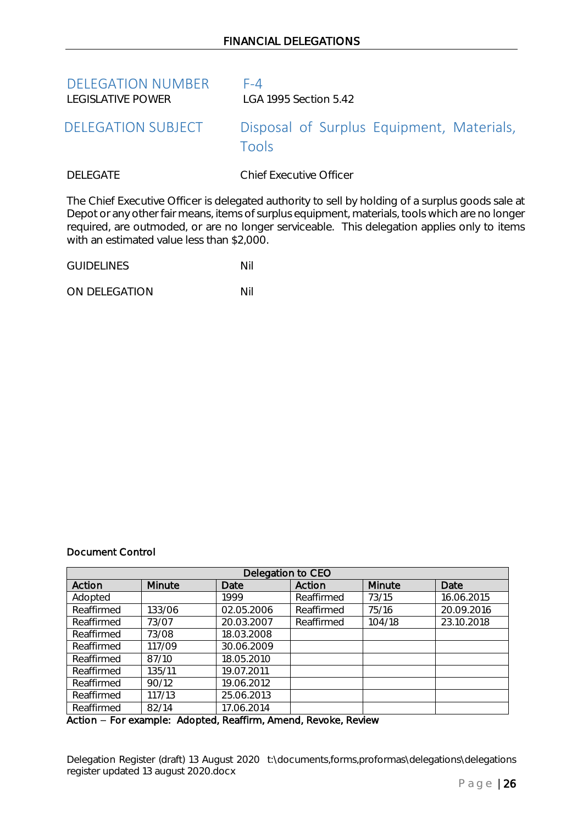<span id="page-25-1"></span><span id="page-25-0"></span>

| <b>DELEGATION NUMBER</b><br>LEGISLATIVE POWER | $F-4$<br>LGA 1995 Section 5.42                                                                                                                                                                    |
|-----------------------------------------------|---------------------------------------------------------------------------------------------------------------------------------------------------------------------------------------------------|
| <b>DELEGATION SUBJECT</b>                     | Disposal of Surplus Equipment, Materials,<br>Tools                                                                                                                                                |
| <b>DELEGATE</b>                               | <b>Chief Executive Officer</b>                                                                                                                                                                    |
|                                               | The Chief Executive Officer is delegated authority to sell by holding of a surplus goods sale at<br>Depat or any other fair means items of surplus equipment materials, tools which are no longer |

Depot or any other fair means, items of surplus equipment, materials, tools which are no longer required, are outmoded, or are no longer serviceable. This delegation applies only to items with an estimated value less than \$2,000.

| <b>GUIDELINES</b> | Nil |
|-------------------|-----|
|                   |     |

ON DELEGATION NIL

# Document Control

| Delegation to CEO |        |            |            |        |            |
|-------------------|--------|------------|------------|--------|------------|
| Action            | Minute | Date       | Action     | Minute | Date       |
| Adopted           |        | 1999       | Reaffirmed | 73/15  | 16.06.2015 |
| Reaffirmed        | 133/06 | 02.05.2006 | Reaffirmed | 75/16  | 20.09.2016 |
| Reaffirmed        | 73/07  | 20.03.2007 | Reaffirmed | 104/18 | 23.10.2018 |
| Reaffirmed        | 73/08  | 18.03.2008 |            |        |            |
| Reaffirmed        | 117/09 | 30.06.2009 |            |        |            |
| Reaffirmed        | 87/10  | 18.05.2010 |            |        |            |
| Reaffirmed        | 135/11 | 19.07.2011 |            |        |            |
| Reaffirmed        | 90/12  | 19.06.2012 |            |        |            |
| Reaffirmed        | 117/13 | 25.06.2013 |            |        |            |
| Reaffirmed        | 82/14  | 17.06.2014 |            |        |            |

Action - For example: Adopted, Reaffirm, Amend, Revoke, Review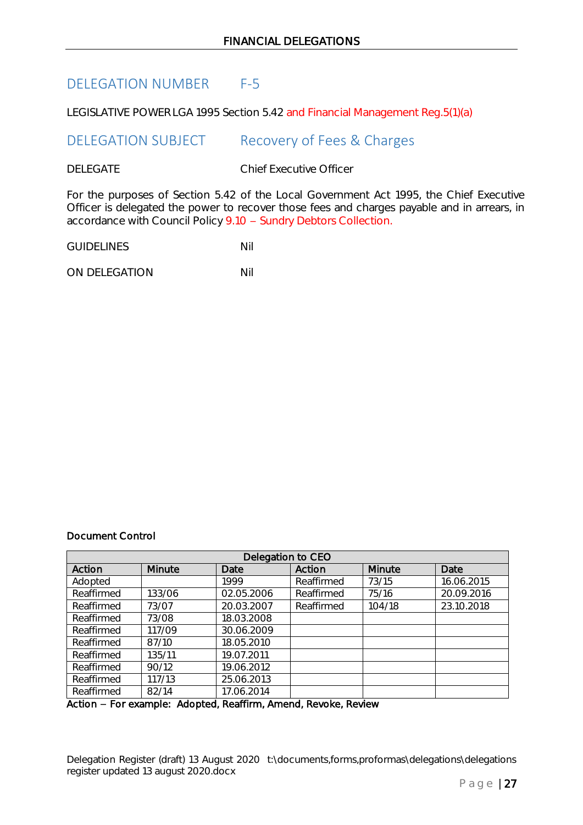# <span id="page-26-0"></span>DELEGATION NUMBER F-5

<span id="page-26-1"></span>LEGISLATIVE POWER LGA 1995 Section 5.42 and Financial Management Reg.5(1)(a)

DELEGATION SUBJECT Recovery of Fees & Charges

DELEGATE Chief Executive Officer

For the purposes of Section 5.42 of the Local Government Act 1995, the Chief Executive Officer is delegated the power to recover those fees and charges payable and in arrears, in accordance with Council Policy 9.10 - Sundry Debtors Collection.

GUIDELINES Nil

ON DELEGATION NIL

# Document Control

| Delegation to CEO |        |            |            |        |            |
|-------------------|--------|------------|------------|--------|------------|
| Action            | Minute | Date       | Action     | Minute | Date       |
| Adopted           |        | 1999       | Reaffirmed | 73/15  | 16.06.2015 |
| Reaffirmed        | 133/06 | 02.05.2006 | Reaffirmed | 75/16  | 20.09.2016 |
| Reaffirmed        | 73/07  | 20.03.2007 | Reaffirmed | 104/18 | 23.10.2018 |
| Reaffirmed        | 73/08  | 18.03.2008 |            |        |            |
| Reaffirmed        | 117/09 | 30.06.2009 |            |        |            |
| Reaffirmed        | 87/10  | 18.05.2010 |            |        |            |
| Reaffirmed        | 135/11 | 19.07.2011 |            |        |            |
| Reaffirmed        | 90/12  | 19.06.2012 |            |        |            |
| Reaffirmed        | 117/13 | 25.06.2013 |            |        |            |
| Reaffirmed        | 82/14  | 17.06.2014 |            |        |            |

Action - For example: Adopted, Reaffirm, Amend, Revoke, Review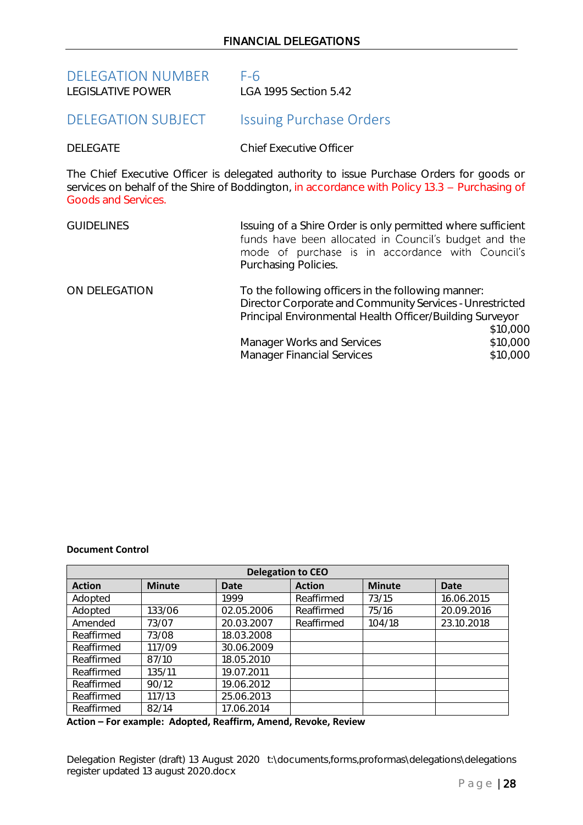<span id="page-27-0"></span>

| <b>DELEGATION NUMBER</b> | $F-6$                 |
|--------------------------|-----------------------|
| LEGISLATIVE POWER        | LGA 1995 Section 5.42 |

# <span id="page-27-1"></span>DELEGATION SUBJECT Issuing Purchase Orders

DELEGATE Chief Executive Officer

The Chief Executive Officer is delegated authority to issue Purchase Orders for goods or services on behalf of the Shire of Boddington, in accordance with Policy 13.3 - Purchasing of Goods and Services.

| <b>GUIDELINES</b> | Issuing of a Shire Order is only permitted where sufficient<br>funds have been allocated in Council's budget and the<br>mode of purchase is in accordance with Council's<br>Purchasing Policies. |                      |
|-------------------|--------------------------------------------------------------------------------------------------------------------------------------------------------------------------------------------------|----------------------|
| ON DELEGATION     | To the following officers in the following manner:<br>Director Corporate and Community Services - Unrestricted<br>Principal Environmental Health Officer/Building Surveyor                       | \$10,000             |
|                   | Manager Works and Services<br><b>Manager Financial Services</b>                                                                                                                                  | \$10,000<br>\$10,000 |

### **Document Control**

| <b>Delegation to CEO</b> |               |             |               |               |             |
|--------------------------|---------------|-------------|---------------|---------------|-------------|
| <b>Action</b>            | <b>Minute</b> | <b>Date</b> | <b>Action</b> | <b>Minute</b> | <b>Date</b> |
| Adopted                  |               | 1999        | Reaffirmed    | 73/15         | 16.06.2015  |
| Adopted                  | 133/06        | 02.05.2006  | Reaffirmed    | 75/16         | 20.09.2016  |
| Amended                  | 73/07         | 20.03.2007  | Reaffirmed    | 104/18        | 23.10.2018  |
| Reaffirmed               | 73/08         | 18.03.2008  |               |               |             |
| Reaffirmed               | 117/09        | 30.06.2009  |               |               |             |
| Reaffirmed               | 87/10         | 18.05.2010  |               |               |             |
| Reaffirmed               | 135/11        | 19.07.2011  |               |               |             |
| Reaffirmed               | 90/12         | 19.06.2012  |               |               |             |
| Reaffirmed               | 117/13        | 25.06.2013  |               |               |             |
| Reaffirmed               | 82/14         | 17.06.2014  |               |               |             |

**Action – For example: Adopted, Reaffirm, Amend, Revoke, Review**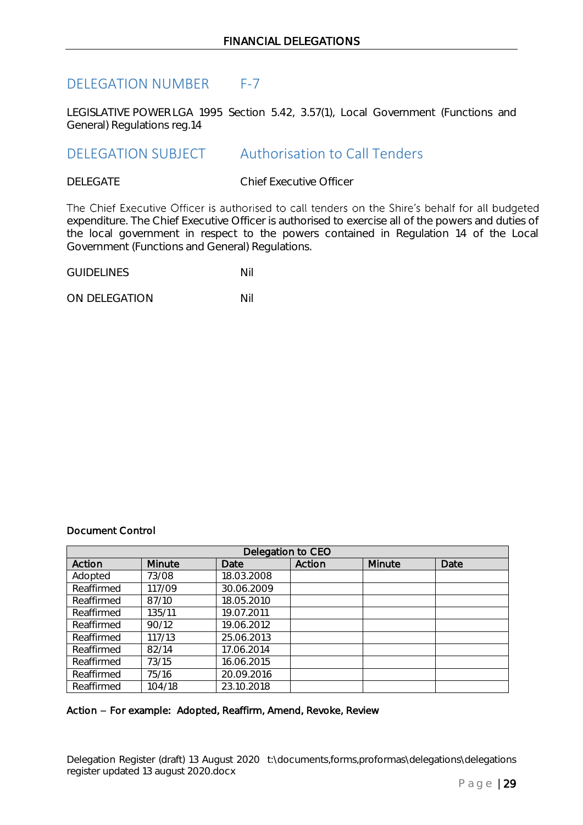# <span id="page-28-0"></span>DELEGATION NUMBER F-7

LEGISLATIVE POWER LGA 1995 Section 5.42, 3.57(1), Local Government (Functions and General) Regulations reg.14

# <span id="page-28-1"></span>DELEGATION SUBJECT Authorisation to Call Tenders

DELEGATE Chief Executive Officer

The Chief Executive Officer is authorised to call tenders on the Shire's behalf for all budgeted expenditure. The Chief Executive Officer is authorised to exercise all of the powers and duties of the local government in respect to the powers contained in Regulation 14 of the Local Government (Functions and General) Regulations.

| <b>GUIDELINES</b> |  |
|-------------------|--|
|-------------------|--|

ON DELEGATION NIL

# Document Control

| Delegation to CEO |               |            |        |        |      |
|-------------------|---------------|------------|--------|--------|------|
| Action            | <b>Minute</b> | Date       | Action | Minute | Date |
| Adopted           | 73/08         | 18.03.2008 |        |        |      |
| Reaffirmed        | 117/09        | 30.06.2009 |        |        |      |
| Reaffirmed        | 87/10         | 18.05.2010 |        |        |      |
| Reaffirmed        | 135/11        | 19.07.2011 |        |        |      |
| Reaffirmed        | 90/12         | 19.06.2012 |        |        |      |
| Reaffirmed        | 117/13        | 25.06.2013 |        |        |      |
| Reaffirmed        | 82/14         | 17.06.2014 |        |        |      |
| Reaffirmed        | 73/15         | 16.06.2015 |        |        |      |
| Reaffirmed        | 75/16         | 20.09.2016 |        |        |      |
| Reaffirmed        | 104/18        | 23.10.2018 |        |        |      |

### Action - For example: Adopted, Reaffirm, Amend, Revoke, Review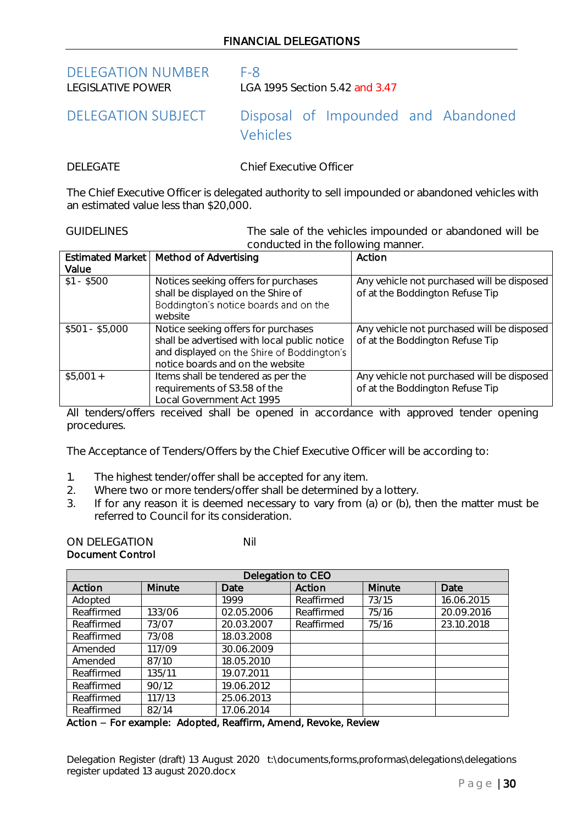# FINANCIAL DELEGATIONS

<span id="page-29-0"></span>DELEGATION NUMBER F-8<br>LEGISLATIVE POWER LGA

LGA 1995 Section 5.42 and 3.47

<span id="page-29-1"></span>DELEGATION SUBJECT Disposal of Impounded and Abandoned Vehicles

DELEGATE Chief Executive Officer

The Chief Executive Officer is delegated authority to sell impounded or abandoned vehicles with an estimated value less than \$20,000.

GUIDELINES The sale of the vehicles impounded or abandoned will be conducted in the following manner.

|                 | Estimated Market   Method of Advertising                                                                                                                              | Action                                                                        |
|-----------------|-----------------------------------------------------------------------------------------------------------------------------------------------------------------------|-------------------------------------------------------------------------------|
| Value           |                                                                                                                                                                       |                                                                               |
| $$1 - $500$     | Notices seeking offers for purchases<br>shall be displayed on the Shire of<br>Boddington's notice boards and on the<br>website                                        | Any vehicle not purchased will be disposed<br>of at the Boddington Refuse Tip |
| $$501 - $5,000$ | Notice seeking offers for purchases<br>shall be advertised with local public notice<br>and displayed on the Shire of Boddington's<br>notice boards and on the website | Any vehicle not purchased will be disposed<br>of at the Boddington Refuse Tip |
| $$5,001 +$      | Items shall be tendered as per the<br>requirements of S3.58 of the<br>Local Government Act 1995                                                                       | Any vehicle not purchased will be disposed<br>of at the Boddington Refuse Tip |

All tenders/offers received shall be opened in accordance with approved tender opening procedures.

The Acceptance of Tenders/Offers by the Chief Executive Officer will be according to:

- 1. The highest tender/offer shall be accepted for any item.
- 2. Where two or more tenders/offer shall be determined by a lottery.
- 3. If for any reason it is deemed necessary to vary from  $\alpha$  or  $\beta$ ), then the matter must be referred to Council for its consideration.

ON DELEGATION NIL Document Control

| Delegation to CEO |               |            |            |               |            |
|-------------------|---------------|------------|------------|---------------|------------|
| Action            | <b>Minute</b> | Date       | Action     | <b>Minute</b> | Date       |
| Adopted           |               | 1999       | Reaffirmed | 73/15         | 16.06.2015 |
| Reaffirmed        | 133/06        | 02.05.2006 | Reaffirmed | 75/16         | 20.09.2016 |
| Reaffirmed        | 73/07         | 20.03.2007 | Reaffirmed | 75/16         | 23.10.2018 |
| Reaffirmed        | 73/08         | 18.03.2008 |            |               |            |
| Amended           | 117/09        | 30.06.2009 |            |               |            |
| Amended           | 87/10         | 18.05.2010 |            |               |            |
| Reaffirmed        | 135/11        | 19.07.2011 |            |               |            |
| Reaffirmed        | 90/12         | 19.06.2012 |            |               |            |
| Reaffirmed        | 117/13        | 25.06.2013 |            |               |            |
| Reaffirmed        | 82/14         | 17.06.2014 |            |               |            |

Action - For example: Adopted, Reaffirm, Amend, Revoke, Review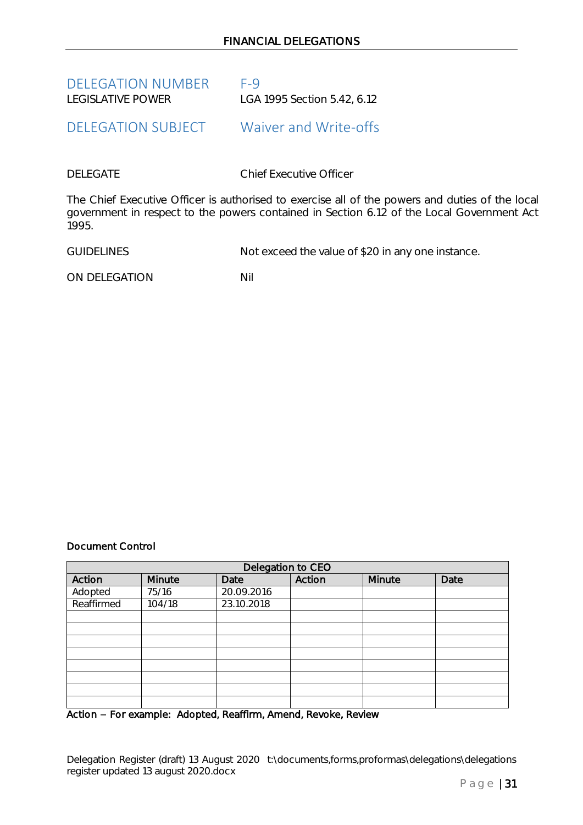<span id="page-30-0"></span>

| <b>DELEGATION NUMBER</b> | $F-9$                       |
|--------------------------|-----------------------------|
| LEGISLATIVE POWER        | LGA 1995 Section 5.42, 6.12 |

# <span id="page-30-1"></span>DELEGATION SUBJECT Waiver and Write-offs

DELEGATE Chief Executive Officer

The Chief Executive Officer is authorised to exercise all of the powers and duties of the local government in respect to the powers contained in Section 6.12 of the Local Government Act 1995.

GUIDELINES Not exceed the value of \$20 in any one instance.

ON DELEGATION NIL

Document Control

| Delegation to CEO |        |            |        |        |      |
|-------------------|--------|------------|--------|--------|------|
| Action            | Minute | Date       | Action | Minute | Date |
| Adopted           | 75/16  | 20.09.2016 |        |        |      |
| Reaffirmed        | 104/18 | 23.10.2018 |        |        |      |
|                   |        |            |        |        |      |
|                   |        |            |        |        |      |
|                   |        |            |        |        |      |
|                   |        |            |        |        |      |
|                   |        |            |        |        |      |
|                   |        |            |        |        |      |
|                   |        |            |        |        |      |
|                   |        |            |        |        |      |

Action - For example: Adopted, Reaffirm, Amend, Revoke, Review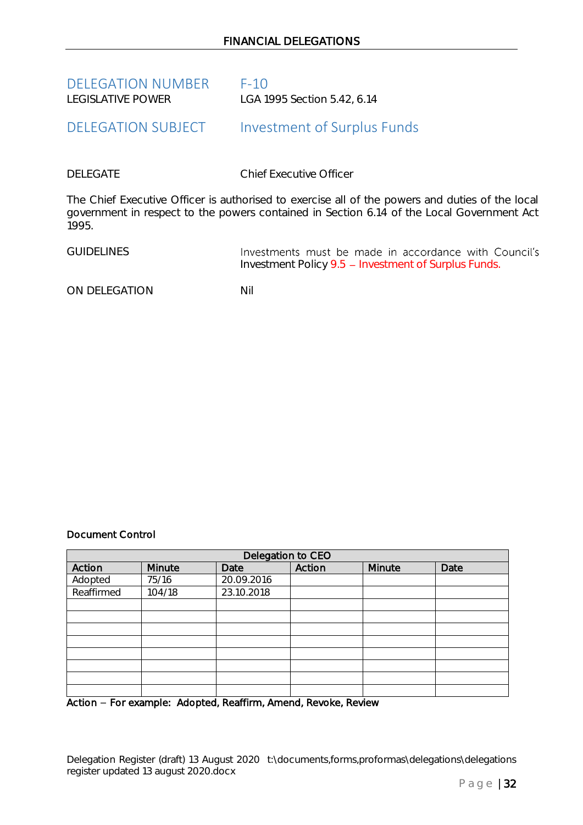<span id="page-31-0"></span>

| <b>DELEGATION NUMBER</b> | $F-10$                      |
|--------------------------|-----------------------------|
| LEGISLATIVE POWER        | LGA 1995 Section 5.42, 6.14 |

# <span id="page-31-1"></span>DELEGATION SUBJECT Investment of Surplus Funds

DELEGATE Chief Executive Officer

The Chief Executive Officer is authorised to exercise all of the powers and duties of the local government in respect to the powers contained in Section 6.14 of the Local Government Act 1995.

| <b>GUIDELINES</b> | Investments must be made in accordance with Council's |  |
|-------------------|-------------------------------------------------------|--|
|                   | Investment Policy 9.5 - Investment of Surplus Funds.  |  |

ON DELEGATION NII

# Document Control

| Delegation to CEO |        |            |        |        |      |
|-------------------|--------|------------|--------|--------|------|
| Action            | Minute | Date       | Action | Minute | Date |
| Adopted           | 75/16  | 20.09.2016 |        |        |      |
| Reaffirmed        | 104/18 | 23.10.2018 |        |        |      |
|                   |        |            |        |        |      |
|                   |        |            |        |        |      |
|                   |        |            |        |        |      |
|                   |        |            |        |        |      |
|                   |        |            |        |        |      |
|                   |        |            |        |        |      |
|                   |        |            |        |        |      |
|                   |        |            |        |        |      |

Action – For example: Adopted, Reaffirm, Amend, Revoke, Review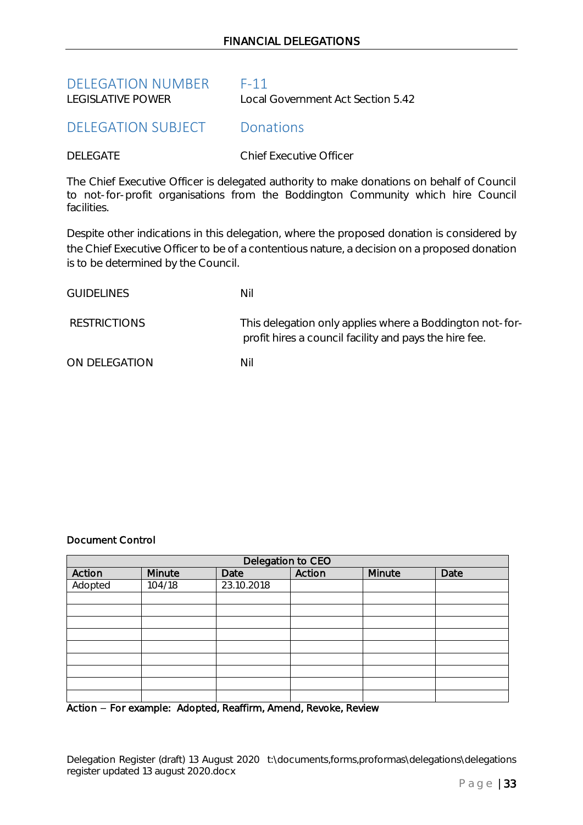<span id="page-32-0"></span>

| <b>DELEGATION NUMBER</b> | $F-11$                            |
|--------------------------|-----------------------------------|
| LEGISLATIVE POWER        | Local Government Act Section 5.42 |

# <span id="page-32-1"></span>DELEGATION SUBJECT Donations

DELEGATE Chief Executive Officer

The Chief Executive Officer is delegated authority to make donations on behalf of Council to not-for-profit organisations from the Boddington Community which hire Council facilities.

Despite other indications in this delegation, where the proposed donation is considered by the Chief Executive Officer to be of a contentious nature, a decision on a proposed donation is to be determined by the Council.

| <b>GUIDELINES</b>   | Nil                                                                                                                |
|---------------------|--------------------------------------------------------------------------------------------------------------------|
| <b>RESTRICTIONS</b> | This delegation only applies where a Boddington not-for-<br>profit hires a council facility and pays the hire fee. |
| ON DELEGATION       | Nil                                                                                                                |

# Document Control

| Delegation to CEO |        |            |        |        |      |
|-------------------|--------|------------|--------|--------|------|
| Action            | Minute | Date       | Action | Minute | Date |
| Adopted           | 104/18 | 23.10.2018 |        |        |      |
|                   |        |            |        |        |      |
|                   |        |            |        |        |      |
|                   |        |            |        |        |      |
|                   |        |            |        |        |      |
|                   |        |            |        |        |      |
|                   |        |            |        |        |      |
|                   |        |            |        |        |      |
|                   |        |            |        |        |      |
|                   |        |            |        |        |      |

Action - For example: Adopted, Reaffirm, Amend, Revoke, Review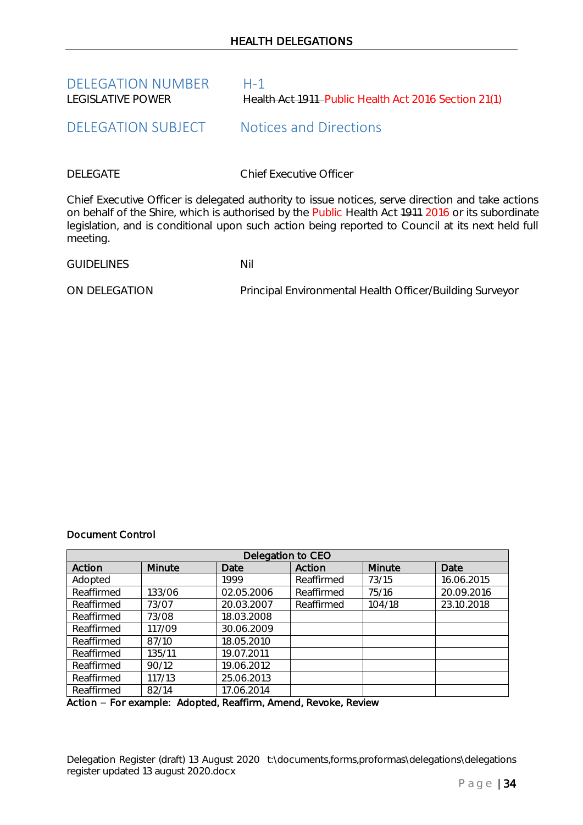<span id="page-33-0"></span>

| <b>DELEGATION NUMBER</b> | $H-1$                                                |
|--------------------------|------------------------------------------------------|
| LEGISLATIVE POWER        | Health Act 1911–Public Health Act 2016 Section 21(1) |

# <span id="page-33-1"></span>DELEGATION SUBJECT Notices and Directions

DELEGATE Chief Executive Officer

Chief Executive Officer is delegated authority to issue notices, serve direction and take actions on behalf of the Shire, which is authorised by the Public Health Act 1911 2016 or its subordinate legislation, and is conditional upon such action being reported to Council at its next held full meeting.

GUIDELINES Nil

ON DELEGATION Principal Environmental Health Officer/Building Surveyor

# Document Control

| Delegation to CEO |        |            |            |        |            |
|-------------------|--------|------------|------------|--------|------------|
| Action            | Minute | Date       | Action     | Minute | Date       |
| Adopted           |        | 1999       | Reaffirmed | 73/15  | 16.06.2015 |
| Reaffirmed        | 133/06 | 02.05.2006 | Reaffirmed | 75/16  | 20.09.2016 |
| Reaffirmed        | 73/07  | 20.03.2007 | Reaffirmed | 104/18 | 23.10.2018 |
| Reaffirmed        | 73/08  | 18.03.2008 |            |        |            |
| Reaffirmed        | 117/09 | 30.06.2009 |            |        |            |
| Reaffirmed        | 87/10  | 18.05.2010 |            |        |            |
| Reaffirmed        | 135/11 | 19.07.2011 |            |        |            |
| Reaffirmed        | 90/12  | 19.06.2012 |            |        |            |
| Reaffirmed        | 117/13 | 25.06.2013 |            |        |            |
| Reaffirmed        | 82/14  | 17.06.2014 |            |        |            |

Action - For example: Adopted, Reaffirm, Amend, Revoke, Review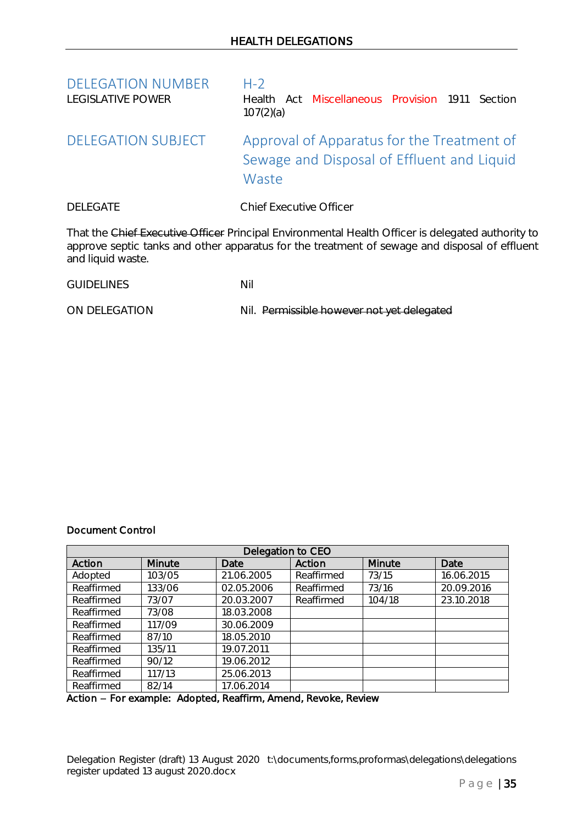<span id="page-34-1"></span><span id="page-34-0"></span>

| <b>DELEGATION NUMBER</b><br><b>LEGISLATIVE POWER</b> | $H-2$<br>Health Act Miscellaneous Provision 1911<br>Section<br>107(2)(a)                          |
|------------------------------------------------------|---------------------------------------------------------------------------------------------------|
| DELEGATION SUBJECT                                   | Approval of Apparatus for the Treatment of<br>Sewage and Disposal of Effluent and Liquid<br>Waste |
| <b>DELEGATE</b>                                      | <b>Chief Executive Officer</b>                                                                    |
|                                                      | That the Chief Executive Officer Principal Environmental Health Officer is delegated authority    |

I hat the Chief Executive Officer Principal Environmental Health Officer is delegated authority to approve septic tanks and other apparatus for the treatment of sewage and disposal of effluent and liquid waste.

GUIDELINES Nil

ON DELEGATION Nil. Permissible however not yet delegated

### Document Control

| Delegation to CEO |               |            |            |               |            |
|-------------------|---------------|------------|------------|---------------|------------|
| Action            | <b>Minute</b> | Date       | Action     | <b>Minute</b> | Date       |
| Adopted           | 103/05        | 21.06.2005 | Reaffirmed | 73/15         | 16.06.2015 |
| Reaffirmed        | 133/06        | 02.05.2006 | Reaffirmed | 73/16         | 20.09.2016 |
| Reaffirmed        | 73/07         | 20.03.2007 | Reaffirmed | 104/18        | 23.10.2018 |
| Reaffirmed        | 73/08         | 18.03.2008 |            |               |            |
| Reaffirmed        | 117/09        | 30.06.2009 |            |               |            |
| Reaffirmed        | 87/10         | 18.05.2010 |            |               |            |
| Reaffirmed        | 135/11        | 19.07.2011 |            |               |            |
| Reaffirmed        | 90/12         | 19.06.2012 |            |               |            |
| Reaffirmed        | 117/13        | 25.06.2013 |            |               |            |
| Reaffirmed        | 82/14         | 17.06.2014 |            |               |            |

### Action - For example: Adopted, Reaffirm, Amend, Revoke, Review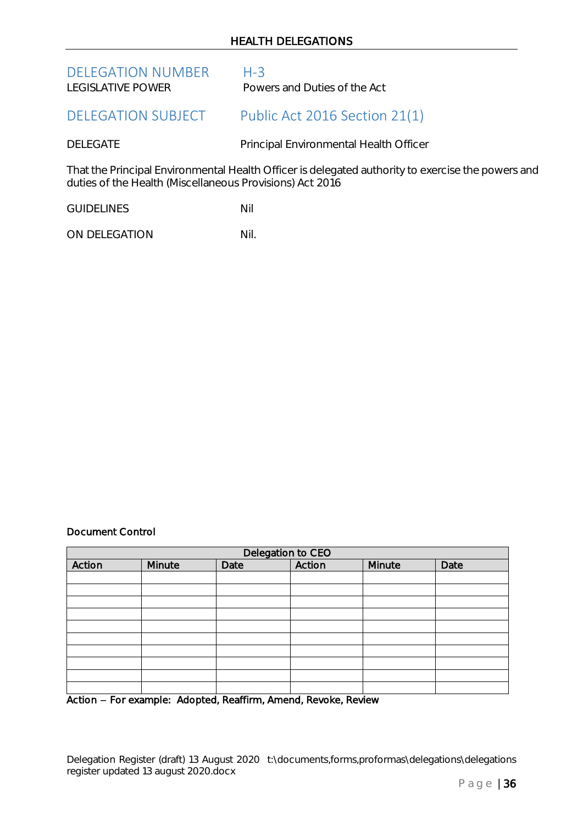# HEALTH DELEGATIONS

<span id="page-35-1"></span><span id="page-35-0"></span>

| <b>DELEGATION NUMBER</b><br>LEGISLATIVE POWER            | $H - 3$<br>Powers and Duties of the Act                                                           |
|----------------------------------------------------------|---------------------------------------------------------------------------------------------------|
| <b>DELEGATION SUBJECT</b>                                | Public Act 2016 Section 21(1)                                                                     |
| <b>DELEGATE</b>                                          | Principal Environmental Health Officer                                                            |
| duties of the Health (Miscellaneous Provisions) Act 2016 | That the Principal Environmental Health Officer is delegated authority to exercise the powers and |

GUIDELINES Nil

ON DELEGATION Nil.

# Document Control

| Delegation to CEO |        |      |        |        |      |
|-------------------|--------|------|--------|--------|------|
| Action            | Minute | Date | Action | Minute | Date |
|                   |        |      |        |        |      |
|                   |        |      |        |        |      |
|                   |        |      |        |        |      |
|                   |        |      |        |        |      |
|                   |        |      |        |        |      |
|                   |        |      |        |        |      |
|                   |        |      |        |        |      |
|                   |        |      |        |        |      |
|                   |        |      |        |        |      |
|                   |        |      |        |        |      |

Action - For example: Adopted, Reaffirm, Amend, Revoke, Review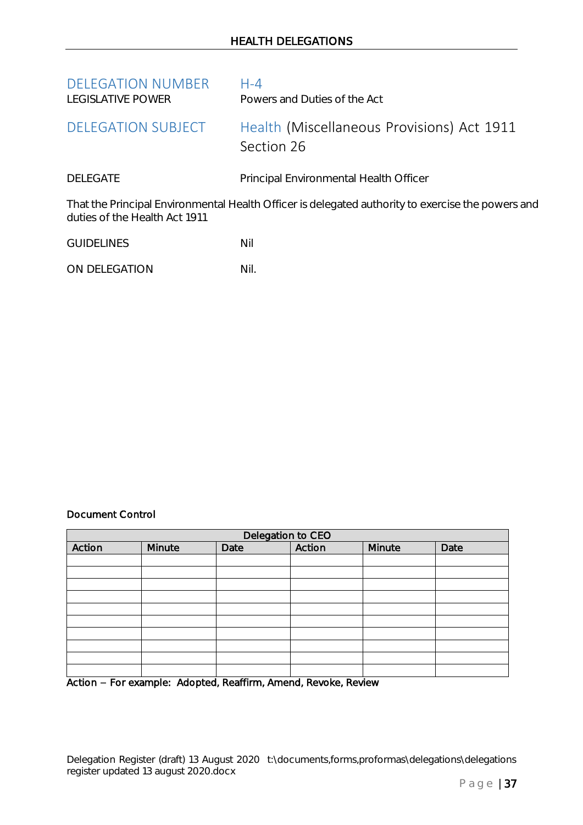<span id="page-36-1"></span><span id="page-36-0"></span>

| <b>DELEGATION NUMBER</b><br>LEGISLATIVE POWER | $H - 4$<br>Powers and Duties of the Act                                                           |
|-----------------------------------------------|---------------------------------------------------------------------------------------------------|
| <b>DELEGATION SUBJECT</b>                     | Health (Miscellaneous Provisions) Act 1911<br>Section 26                                          |
| <b>DELEGATE</b>                               | Principal Environmental Health Officer                                                            |
| duties of the Health Act 1911                 | That the Principal Environmental Health Officer is delegated authority to exercise the powers and |

GUIDELINES Nil

ON DELEGATION Nil.

# Document Control

| Delegation to CEO |        |      |        |        |      |
|-------------------|--------|------|--------|--------|------|
| Action            | Minute | Date | Action | Minute | Date |
|                   |        |      |        |        |      |
|                   |        |      |        |        |      |
|                   |        |      |        |        |      |
|                   |        |      |        |        |      |
|                   |        |      |        |        |      |
|                   |        |      |        |        |      |
|                   |        |      |        |        |      |
|                   |        |      |        |        |      |
|                   |        |      |        |        |      |
|                   |        |      |        |        |      |

Action - For example: Adopted, Reaffirm, Amend, Revoke, Review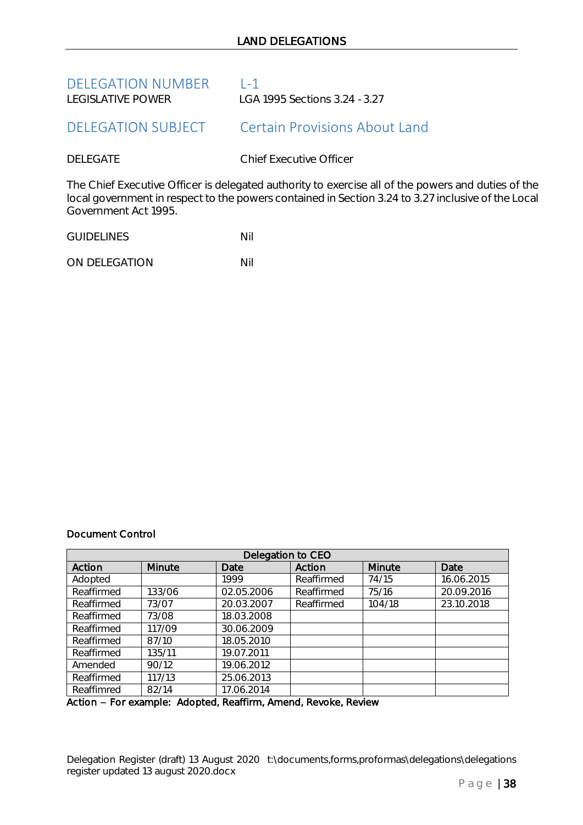<span id="page-37-1"></span><span id="page-37-0"></span>

| <b>DELEGATION NUMBER</b>  | $1 - 1$                                                                                                                                                                                                  |
|---------------------------|----------------------------------------------------------------------------------------------------------------------------------------------------------------------------------------------------------|
| LEGISLATIVE POWER         | LGA 1995 Sections 3.24 - 3.27                                                                                                                                                                            |
| <b>DELEGATION SUBJECT</b> | <b>Certain Provisions About Land</b>                                                                                                                                                                     |
| <b>DELEGATE</b>           | <b>Chief Executive Officer</b>                                                                                                                                                                           |
| Government Act 1995.      | The Chief Executive Officer is delegated authority to exercise all of the powers and duties of the<br>local government in respect to the powers contained in Section 3.24 to 3.27 inclusive of the Local |

| <b>GUIDELINES</b> | Nil |
|-------------------|-----|
|                   |     |

ON DELEGATION Nil

# Document Control

| Delegation to CEO |        |            |            |        |            |
|-------------------|--------|------------|------------|--------|------------|
| Action            | Minute | Date       | Action     | Minute | Date       |
| Adopted           |        | 1999       | Reaffirmed | 74/15  | 16.06.2015 |
| Reaffirmed        | 133/06 | 02.05.2006 | Reaffirmed | 75/16  | 20.09.2016 |
| Reaffirmed        | 73/07  | 20.03.2007 | Reaffirmed | 104/18 | 23.10.2018 |
| Reaffirmed        | 73/08  | 18.03.2008 |            |        |            |
| Reaffirmed        | 117/09 | 30.06.2009 |            |        |            |
| Reaffirmed        | 87/10  | 18.05.2010 |            |        |            |
| Reaffirmed        | 135/11 | 19.07.2011 |            |        |            |
| Amended           | 90/12  | 19.06.2012 |            |        |            |
| Reaffirmed        | 117/13 | 25.06.2013 |            |        |            |
| Reaffimred        | 82/14  | 17.06.2014 |            |        |            |

Action - For example: Adopted, Reaffirm, Amend, Revoke, Review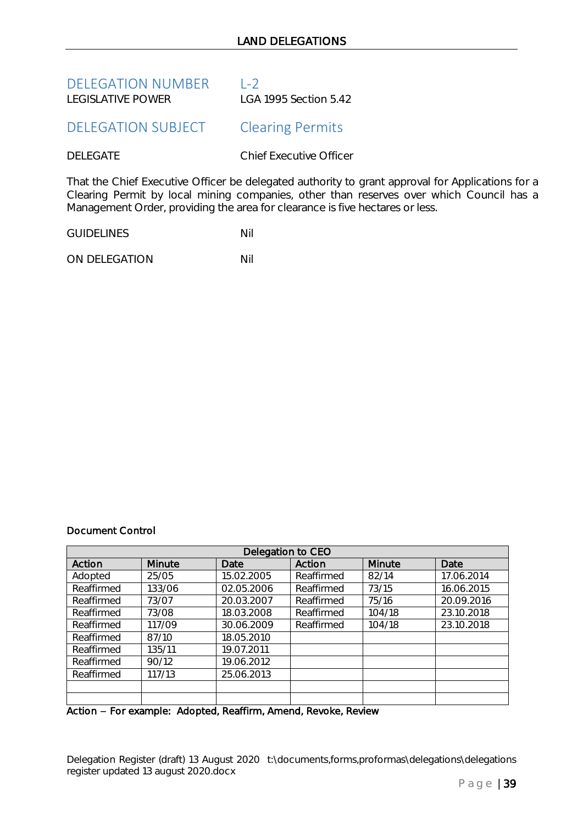<span id="page-38-0"></span>

| <b>DELEGATION NUMBER</b> | $\vert -2 \vert$      |
|--------------------------|-----------------------|
| I FGISI ATIVE POWER      | LGA 1995 Section 5.42 |

# <span id="page-38-1"></span>DELEGATION SUBJECT Clearing Permits

DELEGATE Chief Executive Officer

That the Chief Executive Officer be delegated authority to grant approval for Applications for a Clearing Permit by local mining companies, other than reserves over which Council has a Management Order, providing the area for clearance is five hectares or less.

GUIDELINES Nil

ON DELEGATION Nil

# Document Control

| Delegation to CEO |        |            |            |        |            |  |
|-------------------|--------|------------|------------|--------|------------|--|
| Action            | Minute | Date       | Action     | Minute | Date       |  |
| Adopted           | 25/05  | 15.02.2005 | Reaffirmed | 82/14  | 17.06.2014 |  |
| Reaffirmed        | 133/06 | 02.05.2006 | Reaffirmed | 73/15  | 16.06.2015 |  |
| Reaffirmed        | 73/07  | 20.03.2007 | Reaffirmed | 75/16  | 20.09.2016 |  |
| Reaffirmed        | 73/08  | 18.03.2008 | Reaffirmed | 104/18 | 23.10.2018 |  |
| Reaffirmed        | 117/09 | 30.06.2009 | Reaffirmed | 104/18 | 23.10.2018 |  |
| Reaffirmed        | 87/10  | 18.05.2010 |            |        |            |  |
| Reaffirmed        | 135/11 | 19.07.2011 |            |        |            |  |
| Reaffirmed        | 90/12  | 19.06.2012 |            |        |            |  |
| Reaffirmed        | 117/13 | 25.06.2013 |            |        |            |  |
|                   |        |            |            |        |            |  |
|                   |        |            |            |        |            |  |

Action - For example: Adopted, Reaffirm, Amend, Revoke, Review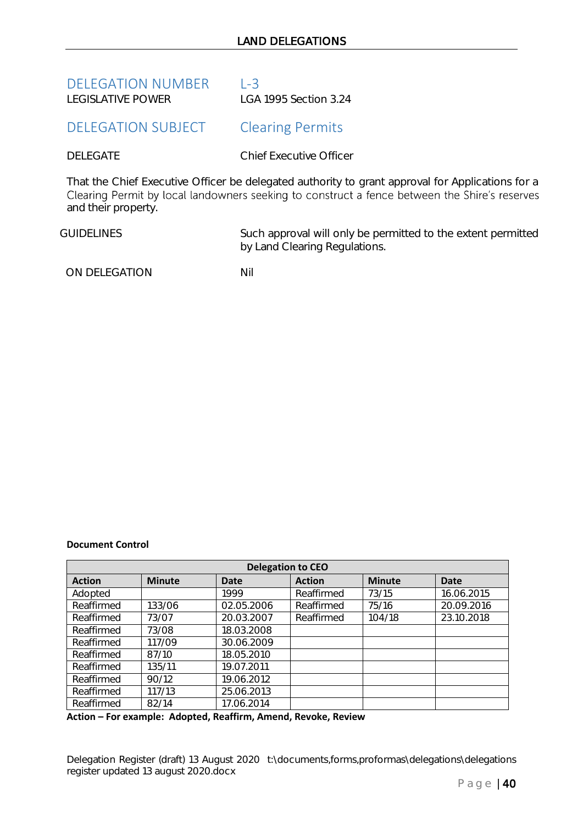<span id="page-39-0"></span>

| <b>DELEGATION NUMBER</b> | $1 - 3$               |
|--------------------------|-----------------------|
| I FGISI ATIVE POWER      | LGA 1995 Section 3.24 |

# <span id="page-39-1"></span>DELEGATION SUBJECT Clearing Permits

DELEGATE Chief Executive Officer

That the Chief Executive Officer be delegated authority to grant approval for Applications for a<br>Clearing Permit by local landowners seeking to construct a fence between the Shire's reserves and their property.

GUIDELINES Such approval will only be permitted to the extent permitted by Land Clearing Regulations.

ON DELEGATION NIL

### **Document Control**

| <b>Delegation to CEO</b> |               |             |               |               |             |  |
|--------------------------|---------------|-------------|---------------|---------------|-------------|--|
| <b>Action</b>            | <b>Minute</b> | <b>Date</b> | <b>Action</b> | <b>Minute</b> | <b>Date</b> |  |
| Adopted                  |               | 1999        | Reaffirmed    | 73/15         | 16.06.2015  |  |
| Reaffirmed               | 133/06        | 02.05.2006  | Reaffirmed    | 75/16         | 20.09.2016  |  |
| Reaffirmed               | 73/07         | 20.03.2007  | Reaffirmed    | 104/18        | 23.10.2018  |  |
| Reaffirmed               | 73/08         | 18.03.2008  |               |               |             |  |
| Reaffirmed               | 117/09        | 30.06.2009  |               |               |             |  |
| Reaffirmed               | 87/10         | 18.05.2010  |               |               |             |  |
| Reaffirmed               | 135/11        | 19.07.2011  |               |               |             |  |
| Reaffirmed               | 90/12         | 19.06.2012  |               |               |             |  |
| Reaffirmed               | 117/13        | 25.06.2013  |               |               |             |  |
| Reaffirmed               | 82/14         | 17.06.2014  |               |               |             |  |

**Action – For example: Adopted, Reaffirm, Amend, Revoke, Review**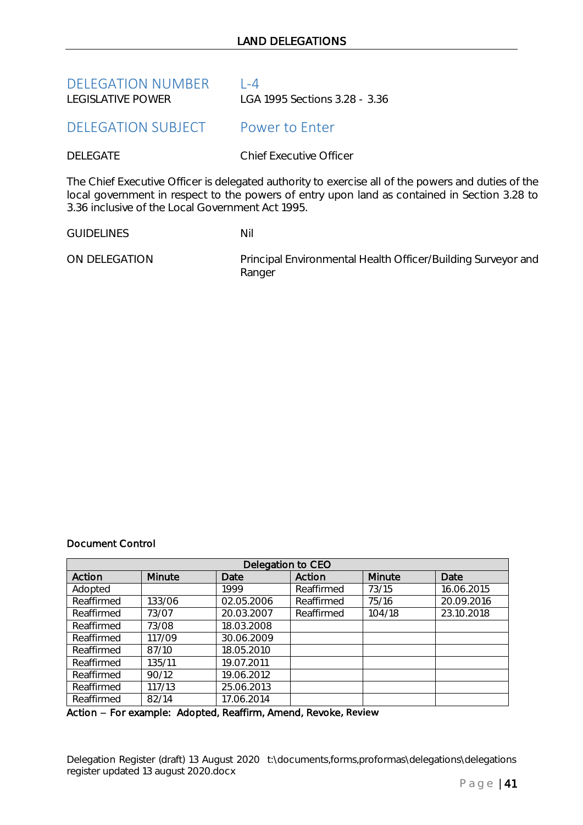<span id="page-40-0"></span>

| <b>DELEGATION NUMBER</b> | $ -4$                         |
|--------------------------|-------------------------------|
| LEGISLATIVE POWER        | LGA 1995 Sections 3.28 - 3.36 |

# <span id="page-40-1"></span>DELEGATION SUBJECT Power to Enter

DELEGATE Chief Executive Officer

The Chief Executive Officer is delegated authority to exercise all of the powers and duties of the local government in respect to the powers of entry upon land as contained in Section 3.28 to 3.36 inclusive of the Local Government Act 1995.

GUIDELINES Nil

ON DELEGATION Principal Environmental Health Officer/Building Surveyor and Ranger

### Document Control

| Delegation to CEO |        |            |            |               |            |  |
|-------------------|--------|------------|------------|---------------|------------|--|
| Action            | Minute | Date       | Action     | <b>Minute</b> | Date       |  |
| Adopted           |        | 1999       | Reaffirmed | 73/15         | 16.06.2015 |  |
| Reaffirmed        | 133/06 | 02.05.2006 | Reaffirmed | 75/16         | 20.09.2016 |  |
| Reaffirmed        | 73/07  | 20.03.2007 | Reaffirmed | 104/18        | 23.10.2018 |  |
| Reaffirmed        | 73/08  | 18.03.2008 |            |               |            |  |
| Reaffirmed        | 117/09 | 30.06.2009 |            |               |            |  |
| Reaffirmed        | 87/10  | 18.05.2010 |            |               |            |  |
| Reaffirmed        | 135/11 | 19.07.2011 |            |               |            |  |
| Reaffirmed        | 90/12  | 19.06.2012 |            |               |            |  |
| Reaffirmed        | 117/13 | 25.06.2013 |            |               |            |  |
| Reaffirmed        | 82/14  | 17.06.2014 |            |               |            |  |

Action - For example: Adopted, Reaffirm, Amend, Revoke, Review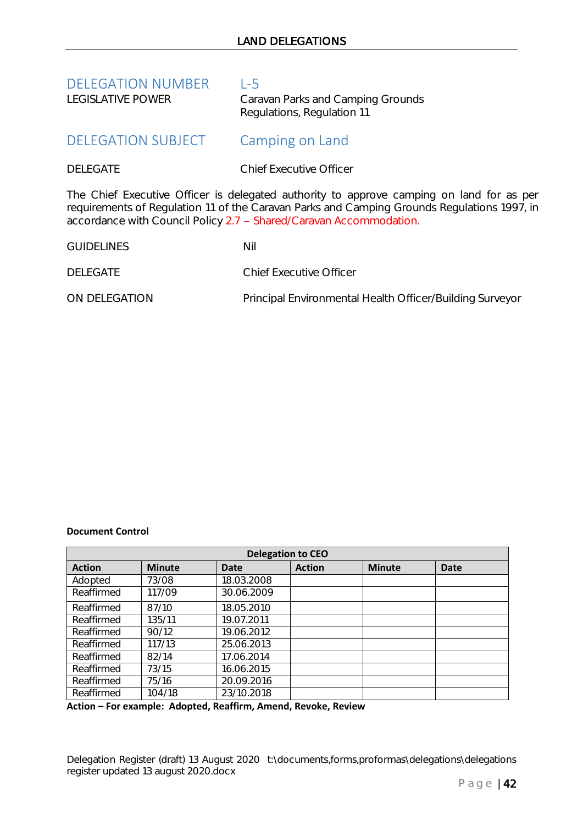<span id="page-41-1"></span><span id="page-41-0"></span>

| <b>DELEGATION NUMBER</b><br><b>LEGISLATIVE POWER</b> | $L-5$<br>Caravan Parks and Camping Grounds<br>Regulations, Regulation 11                                                                                                                                                                                      |
|------------------------------------------------------|---------------------------------------------------------------------------------------------------------------------------------------------------------------------------------------------------------------------------------------------------------------|
| <b>DELEGATION SUBJECT</b>                            | Camping on Land                                                                                                                                                                                                                                               |
| <b>DELEGATE</b>                                      | Chief Executive Officer                                                                                                                                                                                                                                       |
|                                                      | The Chief Executive Officer is delegated authority to approve camping on land for as per<br>requirements of Regulation 11 of the Caravan Parks and Camping Grounds Regulations 1997, in<br>accordance with Council Policy 2.7 - Shared/Caravan Accommodation. |
| <b>GUIDELINES</b>                                    | Nil                                                                                                                                                                                                                                                           |
| <b>DELEGATE</b>                                      | Chief Executive Officer                                                                                                                                                                                                                                       |
| ON DELEGATION                                        | Principal Environmental Health Officer/Building Surveyor                                                                                                                                                                                                      |

# **Document Control**

| <b>Delegation to CEO</b> |               |            |               |               |             |
|--------------------------|---------------|------------|---------------|---------------|-------------|
| <b>Action</b>            | <b>Minute</b> | Date       | <b>Action</b> | <b>Minute</b> | <b>Date</b> |
| Adopted                  | 73/08         | 18.03.2008 |               |               |             |
| Reaffirmed               | 117/09        | 30.06.2009 |               |               |             |
| Reaffirmed               | 87/10         | 18.05.2010 |               |               |             |
| Reaffirmed               | 135/11        | 19.07.2011 |               |               |             |
| Reaffirmed               | 90/12         | 19.06.2012 |               |               |             |
| Reaffirmed               | 117/13        | 25.06.2013 |               |               |             |
| Reaffirmed               | 82/14         | 17.06.2014 |               |               |             |
| Reaffirmed               | 73/15         | 16.06.2015 |               |               |             |
| Reaffirmed               | 75/16         | 20.09.2016 |               |               |             |
| Reaffirmed               | 104/18        | 23/10.2018 |               |               |             |

**Action – For example: Adopted, Reaffirm, Amend, Revoke, Review**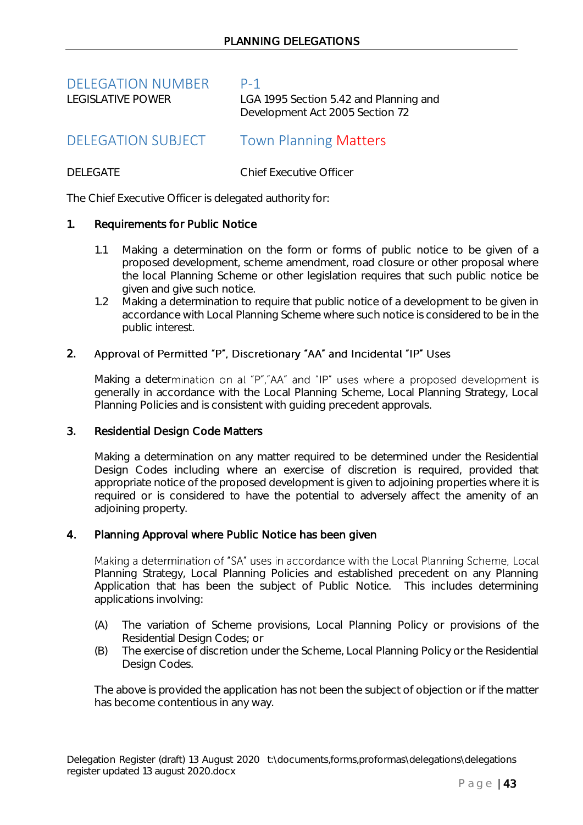<span id="page-42-0"></span>

| <b>DELEGATION NUMBER</b> | $P-1$                                                                     |
|--------------------------|---------------------------------------------------------------------------|
| LEGISLATIVE POWER        | LGA 1995 Section 5.42 and Planning and<br>Development Act 2005 Section 72 |
|                          |                                                                           |

# <span id="page-42-1"></span>DELEGATION SUBJECT Town Planning Matters

DELEGATE Chief Executive Officer

The Chief Executive Officer is delegated authority for:

# 1. Requirements for Public Notice

- 1.1 Making a determination on the form or forms of public notice to be given of a proposed development, scheme amendment, road closure or other proposal where the local Planning Scheme or other legislation requires that such public notice be given and give such notice.
- 1.2 Making a determination to require that public notice of a development to be given in accordance with Local Planning Scheme where such notice is considered to be in the public interest.

# 2. Approval of Permitted "P", Discretionary "AA" and Incidental "IP" Uses

Making a determination on al "P","AA" and "IP" uses where a proposed development is generally in accordance with the Local Planning Scheme, Local Planning Strategy, Local Planning Policies and is consistent with guiding precedent approvals.

# 3. Residential Design Code Matters

Making a determination on any matter required to be determined under the Residential Design Codes including where an exercise of discretion is required, provided that appropriate notice of the proposed development is given to adjoining properties where it is required or is considered to have the potential to adversely affect the amenity of an adjoining property.

# 4. Planning Approval where Public Notice has been given

Making a determination of "SA" uses in accordance with the Local Planning Scheme, Local Planning Strategy, Local Planning Policies and established precedent on any Planning Application that has been the subject of Public Notice. This includes determining applications involving:

- (A) The variation of Scheme provisions, Local Planning Policy or provisions of the Residential Design Codes; or
- (B) The exercise of discretion under the Scheme, Local Planning Policy or the Residential Design Codes.

The above is provided the application has not been the subject of objection or if the matter has become contentious in any way.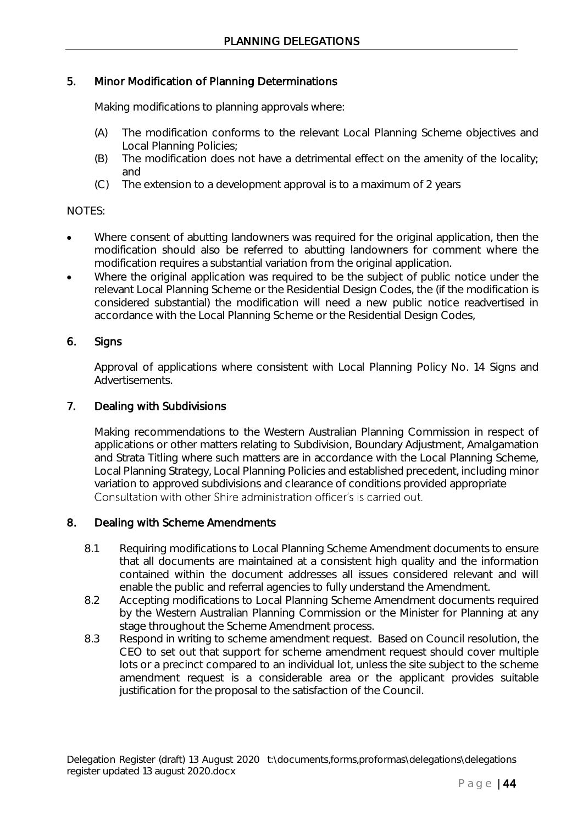# 5. Minor Modification of Planning Determinations

Making modifications to planning approvals where:

- (A) The modification conforms to the relevant Local Planning Scheme objectives and Local Planning Policies;
- (B) The modification does not have a detrimental effect on the amenity of the locality; and
- (C) The extension to a development approval is to a maximum of 2 years

# NOTES:

- Where consent of abutting landowners was required for the original application, then the modification should also be referred to abutting landowners for comment where the modification requires a substantial variation from the original application.
- Where the original application was required to be the subject of public notice under the relevant Local Planning Scheme or the Residential Design Codes, the (if the modification is considered substantial) the modification will need a new public notice readvertised in accordance with the Local Planning Scheme or the Residential Design Codes,

# 6. Signs

Approval of applications where consistent with Local Planning Policy No. 14 Signs and Advertisements.

# 7. Dealing with Subdivisions

Making recommendations to the Western Australian Planning Commission in respect of applications or other matters relating to Subdivision, Boundary Adjustment, Amalgamation and Strata Titling where such matters are in accordance with the Local Planning Scheme, Local Planning Strategy, Local Planning Policies and established precedent, including minor variation to approved subdivisions and clearance of conditions provided appropriate Consultation with other Shire administration officer's is carried out.

# 8. Dealing with Scheme Amendments

- 8.1 Requiring modifications to Local Planning Scheme Amendment documents to ensure that all documents are maintained at a consistent high quality and the information contained within the document addresses all issues considered relevant and will enable the public and referral agencies to fully understand the Amendment.
- 8.2 Accepting modifications to Local Planning Scheme Amendment documents required by the Western Australian Planning Commission or the Minister for Planning at any stage throughout the Scheme Amendment process.
- 8.3 Respond in writing to scheme amendment request. Based on Council resolution, the CEO to set out that support for scheme amendment request should cover multiple lots or a precinct compared to an individual lot, unless the site subject to the scheme amendment request is a considerable area or the applicant provides suitable justification for the proposal to the satisfaction of the Council.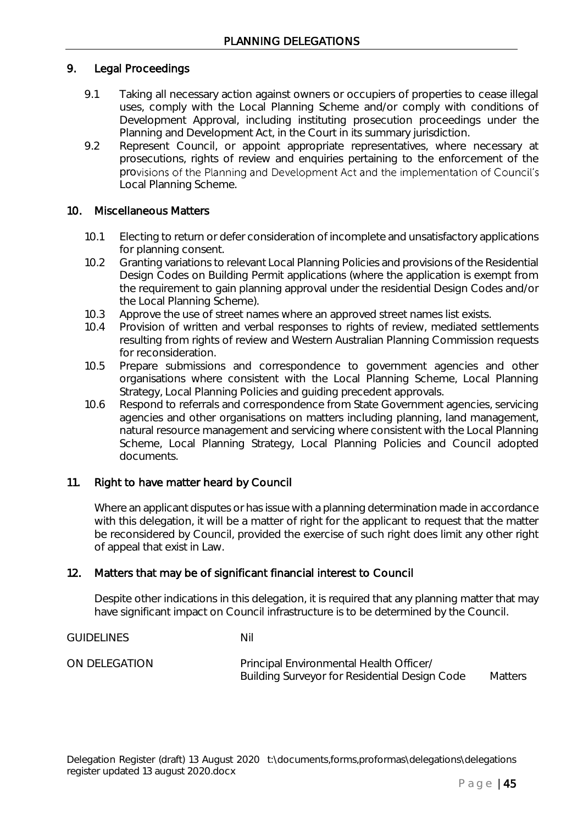# 9. Legal Proceedings

- 9.1 Taking all necessary action against owners or occupiers of properties to cease illegal uses, comply with the Local Planning Scheme and/or comply with conditions of Development Approval, including instituting prosecution proceedings under the Planning and Development Act, in the Court in its summary jurisdiction.
- 9.2 Represent Council, or appoint appropriate representatives, where necessary at prosecutions, rights of review and enquiries pertaining to the enforcement of the provisions of the Planning and Development Act and the implementation of Council's Local Planning Scheme.

# 10. Miscellaneous Matters

- 10.1 Electing to return or defer consideration of incomplete and unsatisfactory applications for planning consent.
- 10.2 Granting variations to relevant Local Planning Policies and provisions of the Residential Design Codes on Building Permit applications (where the application is exempt from the requirement to gain planning approval under the residential Design Codes and/or the Local Planning Scheme).
- 10.3 Approve the use of street names where an approved street names list exists.
- 10.4 Provision of written and verbal responses to rights of review, mediated settlements resulting from rights of review and Western Australian Planning Commission requests for reconsideration.
- 10.5 Prepare submissions and correspondence to government agencies and other organisations where consistent with the Local Planning Scheme, Local Planning Strategy, Local Planning Policies and guiding precedent approvals.
- 10.6 Respond to referrals and correspondence from State Government agencies, servicing agencies and other organisations on matters including planning, land management, natural resource management and servicing where consistent with the Local Planning Scheme, Local Planning Strategy, Local Planning Policies and Council adopted documents.

# 11. Right to have matter heard by Council

GUIDELINES Nil

Where an applicant disputes or has issue with a planning determination made in accordance with this delegation, it will be a matter of right for the applicant to request that the matter be reconsidered by Council, provided the exercise of such right does limit any other right of appeal that exist in Law.

# 12. Matters that may be of significant financial interest to Council

Despite other indications in this delegation, it is required that any planning matter that may have significant impact on Council infrastructure is to be determined by the Council.

ON DELEGATION Principal Environmental Health Officer/

Building Surveyor for Residential Design Code Matters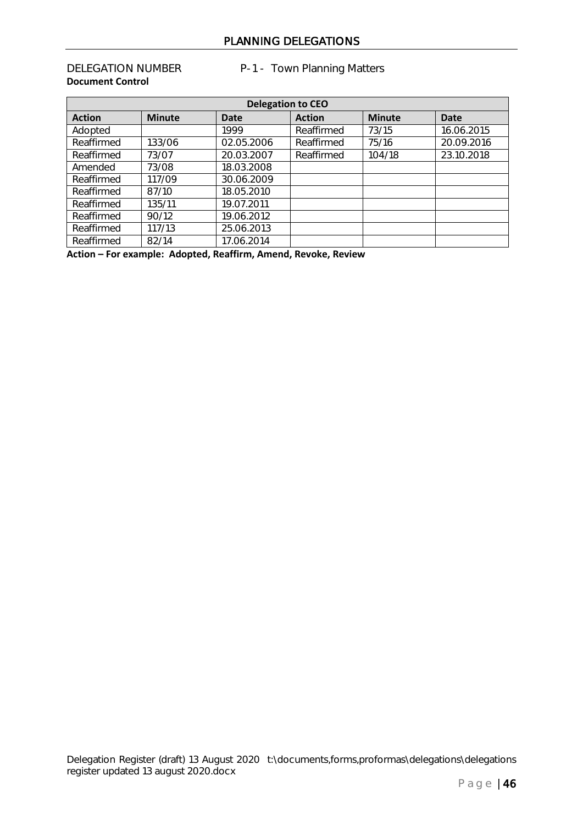# PLANNING DELEGATIONS

# **Document Control**

DELEGATION NUMBER P-1 - Town Planning Matters

| <b>Delegation to CEO</b> |               |             |               |               |             |
|--------------------------|---------------|-------------|---------------|---------------|-------------|
| <b>Action</b>            | <b>Minute</b> | <b>Date</b> | <b>Action</b> | <b>Minute</b> | <b>Date</b> |
| Adopted                  |               | 1999        | Reaffirmed    | 73/15         | 16.06.2015  |
| Reaffirmed               | 133/06        | 02.05.2006  | Reaffirmed    | 75/16         | 20.09.2016  |
| Reaffirmed               | 73/07         | 20.03.2007  | Reaffirmed    | 104/18        | 23.10.2018  |
| Amended                  | 73/08         | 18.03.2008  |               |               |             |
| Reaffirmed               | 117/09        | 30.06.2009  |               |               |             |
| Reaffirmed               | 87/10         | 18.05.2010  |               |               |             |
| Reaffirmed               | 135/11        | 19.07.2011  |               |               |             |
| Reaffirmed               | 90/12         | 19.06.2012  |               |               |             |
| Reaffirmed               | 117/13        | 25.06.2013  |               |               |             |
| Reaffirmed               | 82/14         | 17.06.2014  |               |               |             |

**Action – For example: Adopted, Reaffirm, Amend, Revoke, Review**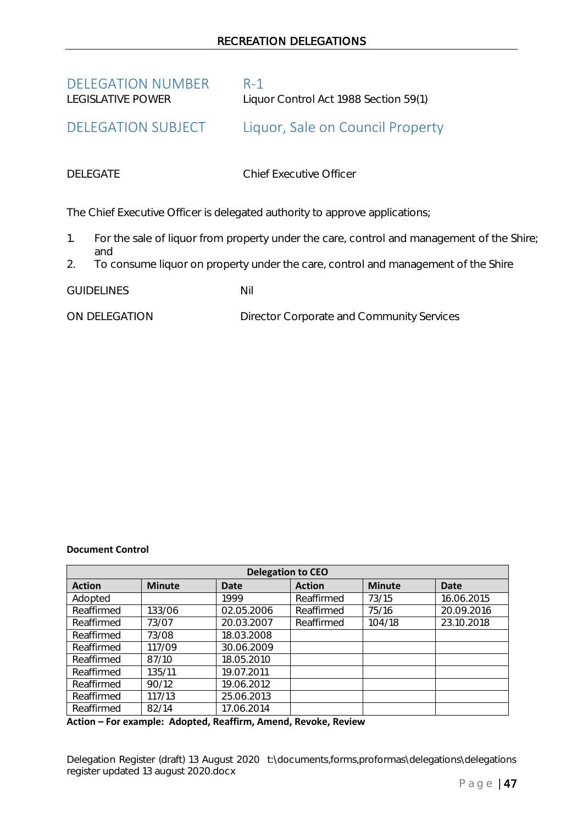<span id="page-46-0"></span>

| <b>DELEGATION NUMBER</b> | - R-1                                 |
|--------------------------|---------------------------------------|
| LEGISLATIVE POWER        | Liquor Control Act 1988 Section 59(1) |

# <span id="page-46-1"></span>DELEGATION SUBJECT Liquor, Sale on Council Property

DELEGATE Chief Executive Officer

The Chief Executive Officer is delegated authority to approve applications;

- 1. For the sale of liquor from property under the care, control and management of the Shire; and
- 2. To consume liquor on property under the care, control and management of the Shire

GUIDELINES Nil

ON DELEGATION Director Corporate and Community Services

### **Document Control**

| <b>Delegation to CEO</b> |               |             |               |               |             |
|--------------------------|---------------|-------------|---------------|---------------|-------------|
| <b>Action</b>            | <b>Minute</b> | <b>Date</b> | <b>Action</b> | <b>Minute</b> | <b>Date</b> |
| Adopted                  |               | 1999        | Reaffirmed    | 73/15         | 16.06.2015  |
| Reaffirmed               | 133/06        | 02.05.2006  | Reaffirmed    | 75/16         | 20.09.2016  |
| Reaffirmed               | 73/07         | 20.03.2007  | Reaffirmed    | 104/18        | 23.10.2018  |
| Reaffirmed               | 73/08         | 18.03.2008  |               |               |             |
| Reaffirmed               | 117/09        | 30.06.2009  |               |               |             |
| Reaffirmed               | 87/10         | 18.05.2010  |               |               |             |
| Reaffirmed               | 135/11        | 19.07.2011  |               |               |             |
| Reaffirmed               | 90/12         | 19.06.2012  |               |               |             |
| Reaffirmed               | 117/13        | 25.06.2013  |               |               |             |
| Reaffirmed               | 82/14         | 17.06.2014  |               |               |             |

**Action – For example: Adopted, Reaffirm, Amend, Revoke, Review**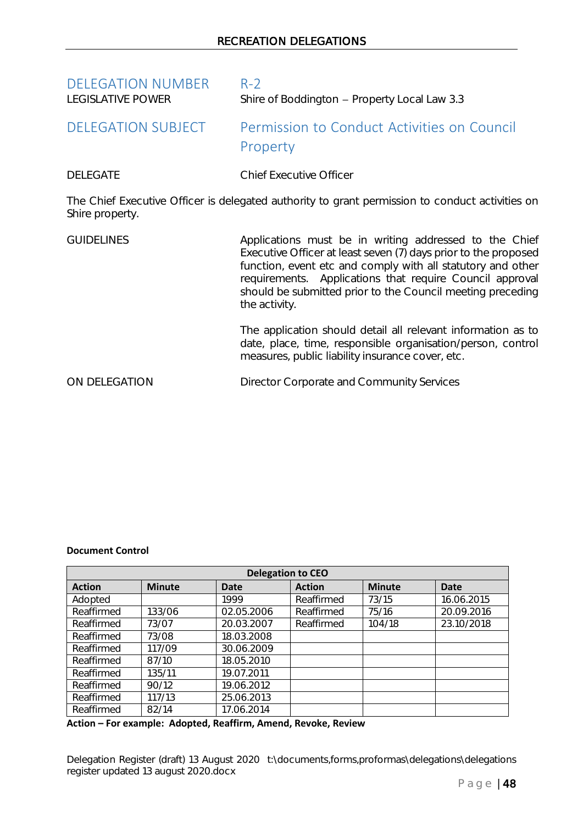<span id="page-47-1"></span><span id="page-47-0"></span>

| <b>DELEGATION NUMBER</b><br><b>LEGISLATIVE POWER</b> | $R-2$<br>Shire of Boddington - Property Local Law 3.3                                                                                                                                                                                                                                                                               |  |
|------------------------------------------------------|-------------------------------------------------------------------------------------------------------------------------------------------------------------------------------------------------------------------------------------------------------------------------------------------------------------------------------------|--|
| <b>DELEGATION SUBJECT</b>                            | Permission to Conduct Activities on Council<br>Property                                                                                                                                                                                                                                                                             |  |
| <b>DELEGATE</b>                                      | <b>Chief Executive Officer</b>                                                                                                                                                                                                                                                                                                      |  |
| Shire property.                                      | The Chief Executive Officer is delegated authority to grant permission to conduct activities on                                                                                                                                                                                                                                     |  |
| <b>GUIDELINES</b>                                    | Applications must be in writing addressed to the Chief<br>Executive Officer at least seven (7) days prior to the proposed<br>function, event etc and comply with all statutory and other<br>requirements. Applications that require Council approval<br>should be submitted prior to the Council meeting preceding<br>the activity. |  |
|                                                      | The application should detail all relevant information as to<br>date, place, time, responsible organisation/person, control<br>measures, public liability insurance cover, etc.                                                                                                                                                     |  |
| ON DELEGATION                                        | Director Corporate and Community Services                                                                                                                                                                                                                                                                                           |  |

### **Document Control**

| <b>Delegation to CEO</b> |               |             |               |               |             |
|--------------------------|---------------|-------------|---------------|---------------|-------------|
| <b>Action</b>            | <b>Minute</b> | <b>Date</b> | <b>Action</b> | <b>Minute</b> | <b>Date</b> |
| Adopted                  |               | 1999        | Reaffirmed    | 73/15         | 16.06.2015  |
| Reaffirmed               | 133/06        | 02.05.2006  | Reaffirmed    | 75/16         | 20.09.2016  |
| Reaffirmed               | 73/07         | 20.03.2007  | Reaffirmed    | 104/18        | 23.10/2018  |
| Reaffirmed               | 73/08         | 18.03.2008  |               |               |             |
| Reaffirmed               | 117/09        | 30.06.2009  |               |               |             |
| Reaffirmed               | 87/10         | 18.05.2010  |               |               |             |
| Reaffirmed               | 135/11        | 19.07.2011  |               |               |             |
| Reaffirmed               | 90/12         | 19.06.2012  |               |               |             |
| Reaffirmed               | 117/13        | 25.06.2013  |               |               |             |
| Reaffirmed               | 82/14         | 17.06.2014  |               |               |             |

**Action – For example: Adopted, Reaffirm, Amend, Revoke, Review**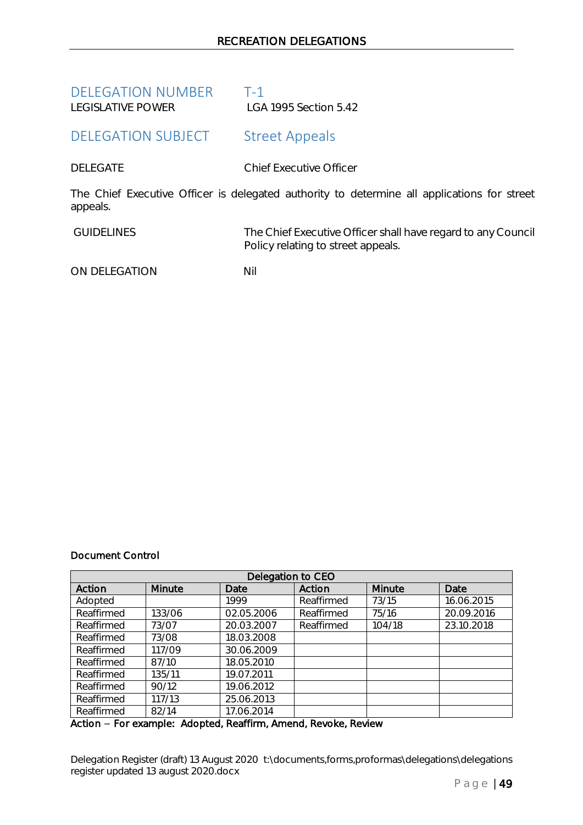<span id="page-48-1"></span><span id="page-48-0"></span>

| DELEGATION NUMBER<br><b>LEGISLATIVE POWER</b> | T-1.<br>LGA 1995 Section 5.42                                                               |
|-----------------------------------------------|---------------------------------------------------------------------------------------------|
| DELEGATION SUBJECT                            | <b>Street Appeals</b>                                                                       |
| DELEGATE                                      | <b>Chief Executive Officer</b>                                                              |
| appeals.                                      | The Chief Executive Officer is delegated authority to determine all applications for street |

GUIDELINES The Chief Executive Officer shall have regard to any Council Policy relating to street appeals.

ON DELEGATION NII

# Document Control

| Delegation to CEO |        |            |            |        |            |
|-------------------|--------|------------|------------|--------|------------|
| Action            | Minute | Date       | Action     | Minute | Date       |
| Adopted           |        | 1999       | Reaffirmed | 73/15  | 16.06.2015 |
| Reaffirmed        | 133/06 | 02.05.2006 | Reaffirmed | 75/16  | 20.09.2016 |
| Reaffirmed        | 73/07  | 20.03.2007 | Reaffirmed | 104/18 | 23.10.2018 |
| Reaffirmed        | 73/08  | 18.03.2008 |            |        |            |
| Reaffirmed        | 117/09 | 30.06.2009 |            |        |            |
| Reaffirmed        | 87/10  | 18.05.2010 |            |        |            |
| Reaffirmed        | 135/11 | 19.07.2011 |            |        |            |
| Reaffirmed        | 90/12  | 19.06.2012 |            |        |            |
| Reaffirmed        | 117/13 | 25.06.2013 |            |        |            |
| Reaffirmed        | 82/14  | 17.06.2014 |            |        |            |

Action - For example: Adopted, Reaffirm, Amend, Revoke, Review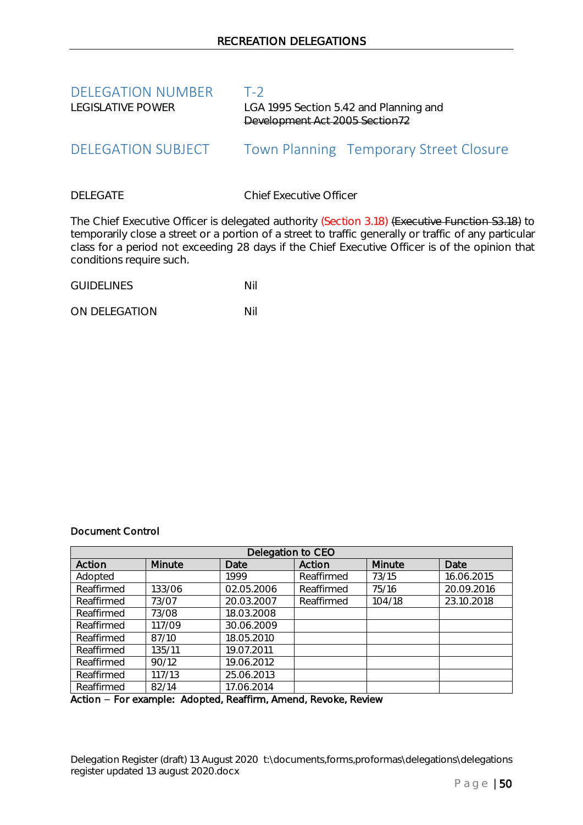<span id="page-49-1"></span><span id="page-49-0"></span>

| <b>DELEGATION NUMBER</b><br>LEGISLATIVE POWER | $T-2$<br>LGA 1995 Section 5.42 and Planning and<br>Development Act 2005 Section72 |
|-----------------------------------------------|-----------------------------------------------------------------------------------|
| DELEGATION SUBJECT                            | <b>Town Planning Temporary Street Closure</b>                                     |
| <b>DELEGATE</b>                               | <b>Chief Executive Officer</b>                                                    |

The Chief Executive Officer is delegated authority (Section 3.18) (Executive Function S3.18) to temporarily close a street or a portion of a street to traffic generally or traffic of any particular class for a period not exceeding 28 days if the Chief Executive Officer is of the opinion that conditions require such.

GUIDELINES Nil

ON DELEGATION NII

### Document Control

| Delegation to CEO |        |            |            |        |            |
|-------------------|--------|------------|------------|--------|------------|
| Action            | Minute | Date       | Action     | Minute | Date       |
| Adopted           |        | 1999       | Reaffirmed | 73/15  | 16.06.2015 |
| Reaffirmed        | 133/06 | 02.05.2006 | Reaffirmed | 75/16  | 20.09.2016 |
| Reaffirmed        | 73/07  | 20.03.2007 | Reaffirmed | 104/18 | 23.10.2018 |
| Reaffirmed        | 73/08  | 18.03.2008 |            |        |            |
| Reaffirmed        | 117/09 | 30.06.2009 |            |        |            |
| Reaffirmed        | 87/10  | 18.05.2010 |            |        |            |
| Reaffirmed        | 135/11 | 19.07.2011 |            |        |            |
| Reaffirmed        | 90/12  | 19.06.2012 |            |        |            |
| Reaffirmed        | 117/13 | 25.06.2013 |            |        |            |
| Reaffirmed        | 82/14  | 17.06.2014 |            |        |            |

Action - For example: Adopted, Reaffirm, Amend, Revoke, Review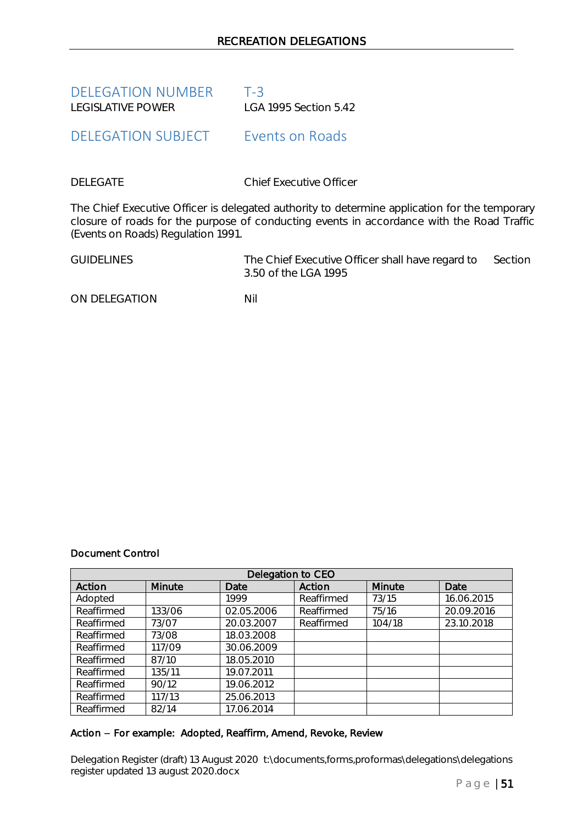<span id="page-50-0"></span>DELEGATION NUMBER T-3 LEGISLATIVE POWER LGA 1995 Section 5.42

<span id="page-50-1"></span>DELEGATION SUBJECT Events on Roads

DELEGATE Chief Executive Officer

The Chief Executive Officer is delegated authority to determine application for the temporary closure of roads for the purpose of conducting events in accordance with the Road Traffic (Events on Roads) Regulation 1991.

GUIDELINES The Chief Executive Officer shall have regard to Section 3.50 of the LGA 1995

ON DELEGATION NIL

# Document Control

| Delegation to CEO |               |            |            |        |            |
|-------------------|---------------|------------|------------|--------|------------|
| Action            | <b>Minute</b> | Date       | Action     | Minute | Date       |
| Adopted           |               | 1999       | Reaffirmed | 73/15  | 16.06.2015 |
| Reaffirmed        | 133/06        | 02.05.2006 | Reaffirmed | 75/16  | 20.09.2016 |
| Reaffirmed        | 73/07         | 20.03.2007 | Reaffirmed | 104/18 | 23.10.2018 |
| Reaffirmed        | 73/08         | 18.03.2008 |            |        |            |
| Reaffirmed        | 117/09        | 30.06.2009 |            |        |            |
| Reaffirmed        | 87/10         | 18.05.2010 |            |        |            |
| Reaffirmed        | 135/11        | 19.07.2011 |            |        |            |
| Reaffirmed        | 90/12         | 19.06.2012 |            |        |            |
| Reaffirmed        | 117/13        | 25.06.2013 |            |        |            |
| Reaffirmed        | 82/14         | 17.06.2014 |            |        |            |

# Action - For example: Adopted, Reaffirm, Amend, Revoke, Review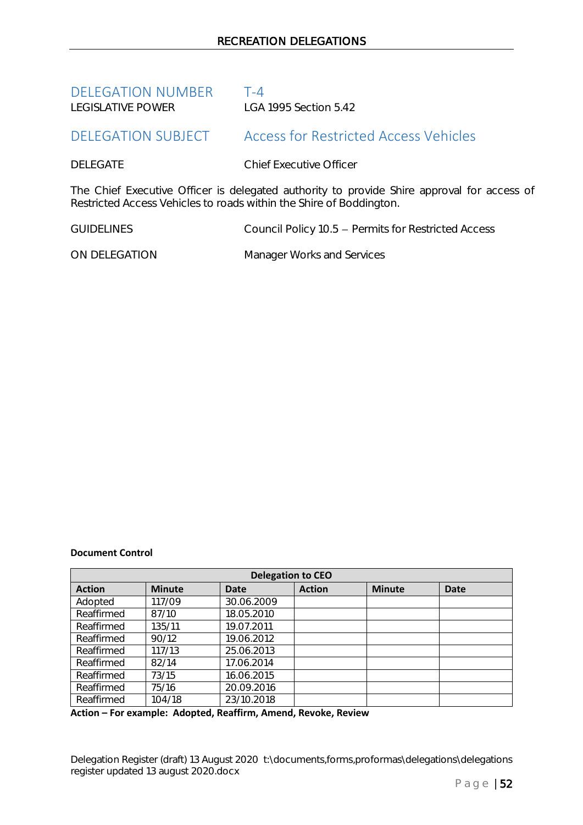<span id="page-51-0"></span>

| <b>DELEGATION NUMBER</b> | $T - 4$               |
|--------------------------|-----------------------|
| I FGISI ATIVE POWER      | LGA 1995 Section 5.42 |

# <span id="page-51-1"></span>DELEGATION SUBJECT Access for Restricted Access Vehicles

# DELEGATE Chief Executive Officer

The Chief Executive Officer is delegated authority to provide Shire approval for access of Restricted Access Vehicles to roads within the Shire of Boddington.

GUIDELINES Council Policy 10.5 - Permits for Restricted Access

ON DELEGATION Manager Works and Services

### **Document Control**

| <b>Delegation to CEO</b> |               |            |               |               |             |
|--------------------------|---------------|------------|---------------|---------------|-------------|
| <b>Action</b>            | <b>Minute</b> | Date       | <b>Action</b> | <b>Minute</b> | <b>Date</b> |
| Adopted                  | 117/09        | 30.06.2009 |               |               |             |
| Reaffirmed               | 87/10         | 18.05.2010 |               |               |             |
| Reaffirmed               | 135/11        | 19.07.2011 |               |               |             |
| Reaffirmed               | 90/12         | 19.06.2012 |               |               |             |
| Reaffirmed               | 117/13        | 25.06.2013 |               |               |             |
| Reaffirmed               | 82/14         | 17.06.2014 |               |               |             |
| Reaffirmed               | 73/15         | 16.06.2015 |               |               |             |
| Reaffirmed               | 75/16         | 20.09.2016 |               |               |             |
| Reaffirmed               | 104/18        | 23/10.2018 |               |               |             |

**Action – For example: Adopted, Reaffirm, Amend, Revoke, Review**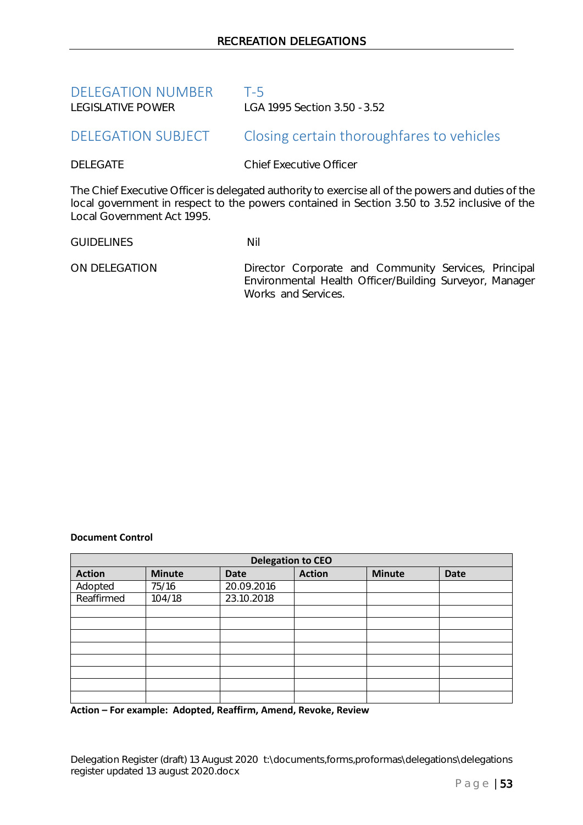<span id="page-52-0"></span>

| <b>DELEGATION NUMBER</b> | T-5                         |
|--------------------------|-----------------------------|
| I FGISI ATIVE POWER      | LGA 1995 Section 3.50 -3.52 |

# <span id="page-52-1"></span>DELEGATION SUBJECT Closing certain thoroughfares to vehicles

DELEGATE Chief Executive Officer

The Chief Executive Officer is delegated authority to exercise all of the powers and duties of the local government in respect to the powers contained in Section 3.50 to 3.52 inclusive of the Local Government Act 1995.

GUIDELINES Nil

ON DELEGATION Director Corporate and Community Services, Principal Environmental Health Officer/Building Surveyor, Manager Works and Services.

### **Document Control**

| <b>Delegation to CEO</b> |               |             |               |               |             |  |
|--------------------------|---------------|-------------|---------------|---------------|-------------|--|
| <b>Action</b>            | <b>Minute</b> | <b>Date</b> | <b>Action</b> | <b>Minute</b> | <b>Date</b> |  |
| Adopted                  | 75/16         | 20.09.2016  |               |               |             |  |
| Reaffirmed               | 104/18        | 23.10.2018  |               |               |             |  |
|                          |               |             |               |               |             |  |
|                          |               |             |               |               |             |  |
|                          |               |             |               |               |             |  |
|                          |               |             |               |               |             |  |
|                          |               |             |               |               |             |  |
|                          |               |             |               |               |             |  |
|                          |               |             |               |               |             |  |
|                          |               |             |               |               |             |  |

**Action – For example: Adopted, Reaffirm, Amend, Revoke, Review**